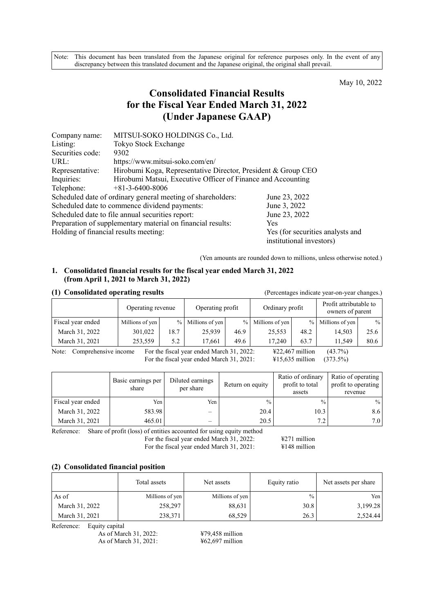Note: This document has been translated from the Japanese original for reference purposes only. In the event of any discrepancy between this translated document and the Japanese original, the original shall prevail.

May 10, 2022

# **Consolidated Financial Results for the Fiscal Year Ended March 31, 2022 (Under Japanese GAAP)**

| Company name:                         | MITSUI-SOKO HOLDINGS Co., Ltd.                                |                                                              |
|---------------------------------------|---------------------------------------------------------------|--------------------------------------------------------------|
| Listing:                              | Tokyo Stock Exchange                                          |                                                              |
| Securities code:                      | 9302                                                          |                                                              |
| URL:                                  | https://www.mitsui-soko.com/en/                               |                                                              |
| Representative:                       | Hirobumi Koga, Representative Director, President & Group CEO |                                                              |
| Inquiries:                            | Hirobumi Matsui, Executive Officer of Finance and Accounting  |                                                              |
| Telephone:                            | $+81-3-6400-8006$                                             |                                                              |
|                                       | Scheduled date of ordinary general meeting of shareholders:   | June 23, 2022                                                |
|                                       | Scheduled date to commence dividend payments:                 | June 3, 2022                                                 |
|                                       | Scheduled date to file annual securities report:              | June 23, 2022                                                |
|                                       | Preparation of supplementary material on financial results:   | <b>Yes</b>                                                   |
| Holding of financial results meeting: |                                                               | Yes (for securities analysts and<br>institutional investors) |

(Yen amounts are rounded down to millions, unless otherwise noted.)

#### **1. Consolidated financial results for the fiscal year ended March 31, 2022 (from April 1, 2021 to March 31, 2022)**

| (1) Consolidated operating results |                   | (Percentages indicate year-on-year changes.) |                  |      |                   |      |                                            |      |
|------------------------------------|-------------------|----------------------------------------------|------------------|------|-------------------|------|--------------------------------------------|------|
|                                    | Operating revenue |                                              | Operating profit |      | Ordinary profit   |      | Profit attributable to<br>owners of parent |      |
| Fiscal year ended                  | Millions of yen   | $\frac{0}{0}$                                | Millions of yen  |      | % Millions of yen | $\%$ | Millions of yen                            | $\%$ |
| March 31, 2022                     | 301,022           | 18.7                                         | 25.939           | 46.9 | 25,553            | 48.2 | 14.503                                     | 25.6 |
| March 31, 2021                     | 253,559           | 5.2                                          | 17,661           | 49.6 | 17.240            | 63.7 | 11,549                                     | 80.6 |

Note: Comprehensive income For the fiscal year ended March 31, 2022:  $\text{\#22,467 million}$  (43.7%) For the fiscal year ended March 31, 2021: ¥15,635 million (373.5%)

|                   | Basic earnings per<br>share | Diluted earnings<br>per share | Return on equity | Ratio of ordinary<br>profit to total<br>assets | Ratio of operating<br>profit to operating<br>revenue |
|-------------------|-----------------------------|-------------------------------|------------------|------------------------------------------------|------------------------------------------------------|
| Fiscal year ended | Yen                         | Yen I                         | $\frac{0}{0}$    | $\frac{0}{0}$                                  | $\frac{0}{0}$                                        |
| March 31, 2022    | 583.98                      | —                             | 20.4             | 10.3                                           | 8.6                                                  |
| March 31, 2021    | 465.01                      |                               | 20.5             | 72                                             | 7.0                                                  |

Reference: Share of profit (loss) of entities accounted for using equity method

For the fiscal year ended March 31, 2022: ¥271 million

For the fiscal year ended March 31, 2021: ¥148 million

#### **(2) Consolidated financial position**

|                | Total assets    | Net assets      | Equity ratio  | Net assets per share |
|----------------|-----------------|-----------------|---------------|----------------------|
| As of          | Millions of yen | Millions of yen | $\frac{0}{0}$ | Yen                  |
| March 31, 2022 | 258,297         | 88,631          | 30.8          | 3,199.28             |
| March 31, 2021 | 238,371         | 68,529          | 26.3          | 2,524.44             |

Reference: Equity capital

As of March 31, 2022: <br>
462,697 million<br>
462,697 million As of March 31, 2021: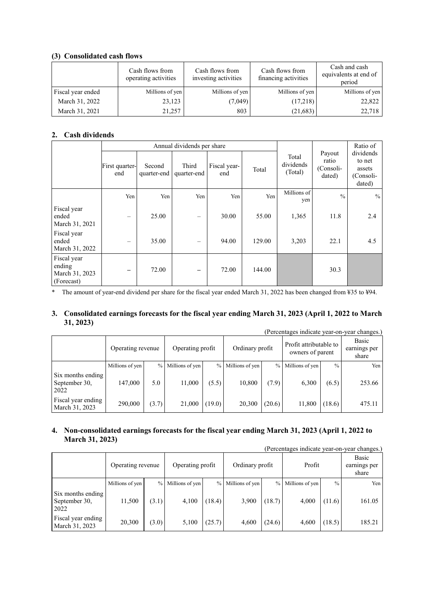### **(3) Consolidated cash flows**

|                   | Cash flows from<br>operating activities | Cash flows from<br>investing activities | Cash flows from<br>financing activities | Cash and cash<br>equivalents at end of<br>period |
|-------------------|-----------------------------------------|-----------------------------------------|-----------------------------------------|--------------------------------------------------|
| Fiscal year ended | Millions of yen                         | Millions of yen                         | Millions of yen                         | Millions of yen                                  |
| March 31, 2022    | 23,123                                  | (7,049)                                 | (17,218)                                | 22,822                                           |
| March 31, 2021    | 21,257                                  | 803                                     | (21,683)                                | 22,718                                           |

# **2. Cash dividends**

|                                                       |                          |                       | Annual dividends per share |                     |        | Ratio of                      |                                        |                                                      |
|-------------------------------------------------------|--------------------------|-----------------------|----------------------------|---------------------|--------|-------------------------------|----------------------------------------|------------------------------------------------------|
|                                                       | First quarter-<br>end    | Second<br>quarter-end | Third<br>quarter-end       | Fiscal year-<br>end | Total  | Total<br>dividends<br>(Total) | Payout<br>ratio<br>(Consoli-<br>dated) | dividends<br>to net<br>assets<br>(Consoli-<br>dated) |
|                                                       | Yen                      | Yen                   | Yen                        | Yen                 | Yen    | Millions of<br>yen            | $\%$                                   | $\frac{0}{0}$                                        |
| Fiscal year<br>ended<br>March 31, 2021                | $\qquad \qquad -$        | 25.00                 | $\overline{\phantom{0}}$   | 30.00               | 55.00  | 1,365                         | 11.8                                   | 2.4                                                  |
| Fiscal year<br>ended<br>March 31, 2022                | $\overline{\phantom{0}}$ | 35.00                 | -                          | 94.00               | 129.00 | 3,203                         | 22.1                                   | 4.5                                                  |
| Fiscal year<br>ending<br>March 31, 2023<br>(Forecast) | $\qquad \qquad$          | 72.00                 | -                          | 72.00               | 144.00 |                               | 30.3                                   |                                                      |

\* The amount of year-end dividend per share for the fiscal year ended March 31, 2022 has been changed from ¥35 to ¥94.

### **3. Consolidated earnings forecasts for the fiscal year ending March 31, 2023 (April 1, 2022 to March 31, 2023)**

|                                            |                   |               |                  |        |                 |               |                                            |        | (Percentages indicate year-on-year changes.) |
|--------------------------------------------|-------------------|---------------|------------------|--------|-----------------|---------------|--------------------------------------------|--------|----------------------------------------------|
|                                            | Operating revenue |               | Operating profit |        | Ordinary profit |               | Profit attributable to<br>owners of parent |        | Basic<br>earnings per<br>share               |
|                                            | Millions of yen   | $\frac{0}{0}$ | Millions of yen  | $\%$   | Millions of yen | $\frac{0}{0}$ | Millions of yen                            | $\%$   | Yen                                          |
| Six months ending<br>September 30,<br>2022 | 147,000           | 5.0           | 11,000           | (5.5)  | 10,800          | (7.9)         | 6,300                                      | (6.5)  | 253.66                                       |
| Fiscal year ending<br>March 31, 2023       | 290,000           | (3.7)         | 21,000           | (19.0) | 20,300          | (20.6)        | 11,800                                     | (18.6) | 475.11                                       |

### **4. Non-consolidated earnings forecasts for the fiscal year ending March 31, 2023 (April 1, 2022 to March 31, 2023)**

(Percentages indicate year-on-year changes.)

|                                            | Operating revenue |               | Operating profit |        | Ordinary profit |        | Profit            |               | Basic<br>earnings per<br>share |
|--------------------------------------------|-------------------|---------------|------------------|--------|-----------------|--------|-------------------|---------------|--------------------------------|
|                                            | Millions of yen   | $\frac{0}{0}$ | Millions of yen  | $\%$   | Millions of yen |        | % Millions of yen | $\frac{0}{0}$ | Yen                            |
| Six months ending<br>September 30,<br>2022 | 11,500            | (3.1)         | 4,100            | (18.4) | 3,900           | (18.7) | 4,000             | (11.6)        | 161.05                         |
| Fiscal year ending<br>March 31, 2023       | 20,300            | (3.0)         | 5,100            | (25.7) | 4.600           | (24.6) | 4.600             | (18.5)        | 185.21                         |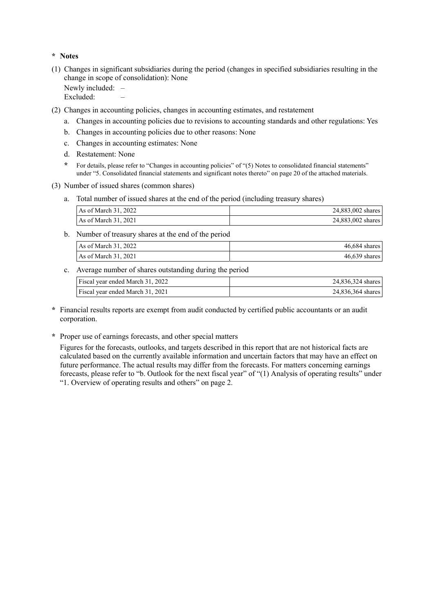### **\* Notes**

(1) Changes in significant subsidiaries during the period (changes in specified subsidiaries resulting in the change in scope of consolidation): None

Newly included: -

Excluded:

- (2) Changes in accounting policies, changes in accounting estimates, and restatement
	- a. Changes in accounting policies due to revisions to accounting standards and other regulations: Yes
	- b. Changes in accounting policies due to other reasons: None
	- c. Changes in accounting estimates: None
	- d. Restatement: None
	- **\*** For details, please refer to "Changes in accounting policies" of "(5) Notes to consolidated financial statements" under "5. Consolidated financial statements and significant notes thereto" on page 20 of the attached materials.
- (3) Number of issued shares (common shares)
	- a. Total number of issued shares at the end of the period (including treasury shares)

| As of March 31, 2022 | 24,883,002 shares |
|----------------------|-------------------|
| As of March 31, 2021 | 24,883,002 shares |

b. Number of treasury shares at the end of the period

| $\text{As of March } 31, 2022$  | $46.684$ shares |
|---------------------------------|-----------------|
| $\textsf{As}$ of March 31, 2021 | $46,639$ shares |

c. Average number of shares outstanding during the period

| Fiscal year ended March 31, 2022 | 24,836,324 shares |
|----------------------------------|-------------------|
| Fiscal year ended March 31, 2021 | 24,836,364 shares |

- **\*** Financial results reports are exempt from audit conducted by certified public accountants or an audit corporation.
- **\*** Proper use of earnings forecasts, and other special matters

Figures for the forecasts, outlooks, and targets described in this report that are not historical facts are calculated based on the currently available information and uncertain factors that may have an effect on future performance. The actual results may differ from the forecasts. For matters concerning earnings forecasts, please refer to "b. Outlook for the next fiscal year" of "(1) Analysis of operating results" under "1. Overview of operating results and others" on page 2.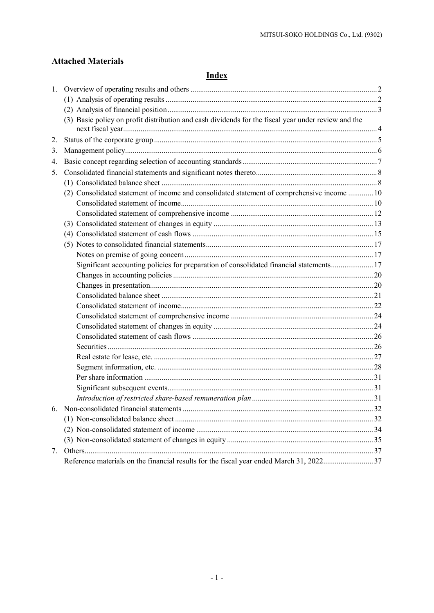# **Attached Materials**

# **Index**

|    | (3) Basic policy on profit distribution and cash dividends for the fiscal year under review and the |  |
|----|-----------------------------------------------------------------------------------------------------|--|
| 2. |                                                                                                     |  |
| 3. |                                                                                                     |  |
| 4. |                                                                                                     |  |
| 5. |                                                                                                     |  |
|    |                                                                                                     |  |
|    | (2) Consolidated statement of income and consolidated statement of comprehensive income  10         |  |
|    |                                                                                                     |  |
|    |                                                                                                     |  |
|    |                                                                                                     |  |
|    |                                                                                                     |  |
|    |                                                                                                     |  |
|    |                                                                                                     |  |
|    | Significant accounting policies for preparation of consolidated financial statements 17             |  |
|    |                                                                                                     |  |
|    |                                                                                                     |  |
|    |                                                                                                     |  |
|    |                                                                                                     |  |
|    |                                                                                                     |  |
|    |                                                                                                     |  |
|    |                                                                                                     |  |
|    |                                                                                                     |  |
|    |                                                                                                     |  |
|    |                                                                                                     |  |
|    |                                                                                                     |  |
|    |                                                                                                     |  |
|    |                                                                                                     |  |
| 6. |                                                                                                     |  |
|    |                                                                                                     |  |
|    |                                                                                                     |  |
|    |                                                                                                     |  |
| 7. |                                                                                                     |  |
|    | Reference materials on the financial results for the fiscal year ended March 31, 202237             |  |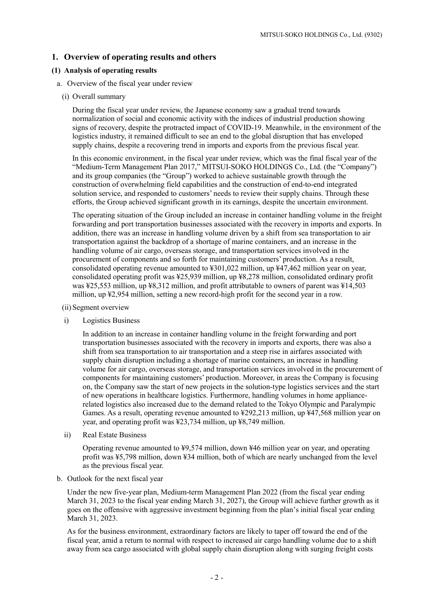### **1. Overview of operating results and others**

#### **(1) Analysis of operating results**

- a. Overview of the fiscal year under review
	- (i) Overall summary

During the fiscal year under review, the Japanese economy saw a gradual trend towards normalization of social and economic activity with the indices of industrial production showing signs of recovery, despite the protracted impact of COVID-19. Meanwhile, in the environment of the logistics industry, it remained difficult to see an end to the global disruption that has enveloped supply chains, despite a recovering trend in imports and exports from the previous fiscal year.

In this economic environment, in the fiscal year under review, which was the final fiscal year of the "Medium-Term Management Plan 2017," MITSUI-SOKO HOLDINGS Co., Ltd. (the "Company") and its group companies (the "Group") worked to achieve sustainable growth through the construction of overwhelming field capabilities and the construction of end-to-end integrated solution service, and responded to customers' needs to review their supply chains. Through these efforts, the Group achieved significant growth in its earnings, despite the uncertain environment.

The operating situation of the Group included an increase in container handling volume in the freight forwarding and port transportation businesses associated with the recovery in imports and exports. In addition, there was an increase in handling volume driven by a shift from sea transportation to air transportation against the backdrop of a shortage of marine containers, and an increase in the handling volume of air cargo, overseas storage, and transportation services involved in the procurement of components and so forth for maintaining customers' production. As a result, consolidated operating revenue amounted to  $\text{\textsterling}301,022$  million, up  $\text{\textsterling}47,462$  million year on year, consolidated operating profit was ¥25,939 million, up ¥8,278 million, consolidated ordinary profit was ¥25,553 million, up ¥8,312 million, and profit attributable to owners of parent was ¥14,503 million, up ¥2,954 million, setting a new record-high profit for the second year in a row.

- (ii) Segment overview
- i) Logistics Business

In addition to an increase in container handling volume in the freight forwarding and port transportation businesses associated with the recovery in imports and exports, there was also a shift from sea transportation to air transportation and a steep rise in airfares associated with supply chain disruption including a shortage of marine containers, an increase in handling volume for air cargo, overseas storage, and transportation services involved in the procurement of components for maintaining customers' production. Moreover, in areas the Company is focusing on, the Company saw the start of new projects in the solution-type logistics services and the start of new operations in healthcare logistics. Furthermore, handling volumes in home appliancerelated logistics also increased due to the demand related to the Tokyo Olympic and Paralympic Games. As a result, operating revenue amounted to ¥292,213 million, up ¥47,568 million year on year, and operating profit was ¥23,734 million, up ¥8,749 million.

ii) Real Estate Business

Operating revenue amounted to ¥9,574 million, down ¥46 million year on year, and operating profit was ¥5,798 million, down ¥34 million, both of which are nearly unchanged from the level as the previous fiscal year.

b. Outlook for the next fiscal year

Under the new five-year plan, Medium-term Management Plan 2022 (from the fiscal year ending March 31, 2023 to the fiscal year ending March 31, 2027), the Group will achieve further growth as it goes on the offensive with aggressive investment beginning from the plan's initial fiscal year ending March 31, 2023.

As for the business environment, extraordinary factors are likely to taper off toward the end of the fiscal year, amid a return to normal with respect to increased air cargo handling volume due to a shift away from sea cargo associated with global supply chain disruption along with surging freight costs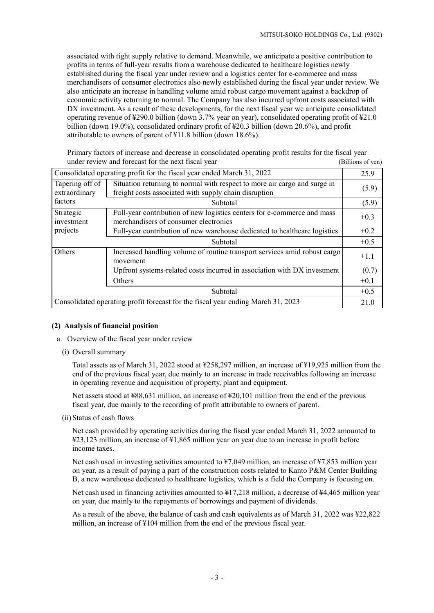associated with tight supply relative to demand. Meanwhile, we anticipate a positive contribution to profits in terms of full-year results from a warehouse dedicated to healthcare logistics newly established during the fiscal year under review and a logistics center for e-commerce and mass merchandisers of consumer electronics also newly established during the fiscal year under review. We also anticipate an increase in handling volume amid robust cargo movement against a backdrop of economic activity returning to normal. The Company has also incurred upfront costs associated with DX investment. As a result of these developments, for the next fiscal year we anticipate consolidated operating revenue of ¥290.0 billion (down 3.7% year on year), consolidated operating profit of ¥21.0 billion (down 19.0%), consolidated ordinary profit of ¥20.3 billion (down 20.6%), and profit attributable to owners of parent of ¥11.8 billion (down 18.6%).

Primary factors of increase and decrease in consolidated operating profit results for the fiscal year under review and forecast for the next fiscal year (Billions of yen)

| Consolidated operating profit for the fiscal year ended March 31, 2022 |                                                                                                                                    |        |  |  |
|------------------------------------------------------------------------|------------------------------------------------------------------------------------------------------------------------------------|--------|--|--|
| Tapering off of<br>extraordinary                                       | Situation returning to normal with respect to more air cargo and surge in<br>freight costs associated with supply chain disruption | (5.9)  |  |  |
| factors                                                                | <b>Subtotal</b>                                                                                                                    | (5.9)  |  |  |
| Strategic<br>investment                                                | Full-year contribution of new logistics centers for e-commerce and mass<br>merchandisers of consumer electronics                   | $+0.3$ |  |  |
| projects                                                               | Full-year contribution of new warehouse dedicated to healthcare logistics                                                          | $+0.2$ |  |  |
| Subtotal                                                               |                                                                                                                                    |        |  |  |
| Others                                                                 | Increased handling volume of routine transport services amid robust cargo<br>movement                                              | $+1.1$ |  |  |
|                                                                        | Upfront systems-related costs incurred in association with DX investment                                                           | (0.7)  |  |  |
|                                                                        | Others                                                                                                                             | $+0.1$ |  |  |
| Subtotal                                                               |                                                                                                                                    |        |  |  |
|                                                                        | Consolidated operating profit forecast for the fiscal year ending March 31, 2023                                                   | 21.0   |  |  |

#### **(2) Analysis of financial position**

- a. Overview of the fiscal year under review
	- (i) Overall summary

Total assets as of March 31, 2022 stood at ¥258,297 million, an increase of ¥19,925 million from the end of the previous fiscal year, due mainly to an increase in trade receivables following an increase in operating revenue and acquisition of property, plant and equipment.

Net assets stood at ¥88,631 million, an increase of ¥20,101 million from the end of the previous fiscal year, due mainly to the recording of profit attributable to owners of parent.

(ii) Status of cash flows

Net cash provided by operating activities during the fiscal year ended March 31, 2022 amounted to ¥23,123 million, an increase of ¥1,865 million year on year due to an increase in profit before income taxes.

Net cash used in investing activities amounted to  $\frac{1}{4}7.049$  million, an increase of  $\frac{1}{4}7.853$  million year on year, as a result of paying a part of the construction costs related to Kanto P&M Center Building B, a new warehouse dedicated to healthcare logistics, which is a field the Company is focusing on.

Net cash used in financing activities amounted to ¥17,218 million, a decrease of ¥4,465 million year on year, due mainly to the repayments of borrowings and payment of dividends.

As a result of the above, the balance of cash and cash equivalents as of March 31, 2022 was ¥22,822 million, an increase of ¥104 million from the end of the previous fiscal year.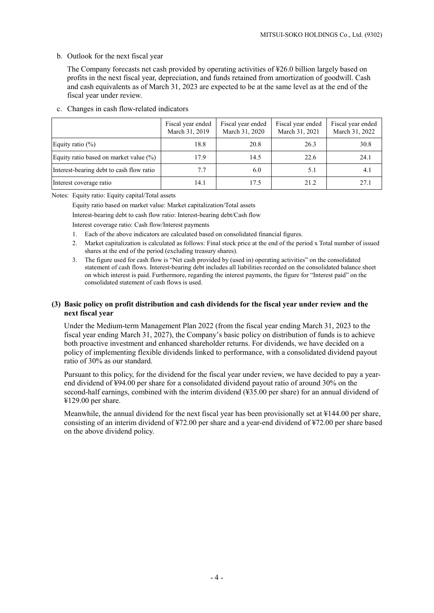#### b. Outlook for the next fiscal year

The Company forecasts net cash provided by operating activities of ¥26.0 billion largely based on profits in the next fiscal year, depreciation, and funds retained from amortization of goodwill. Cash and cash equivalents as of March 31, 2023 are expected to be at the same level as at the end of the fiscal year under review.

|                                          | Fiscal year ended<br>March 31, 2019 | Fiscal year ended<br>March 31, 2020 | Fiscal year ended<br>March 31, 2021 | Fiscal year ended<br>March 31, 2022 |
|------------------------------------------|-------------------------------------|-------------------------------------|-------------------------------------|-------------------------------------|
| Equity ratio $(\%)$                      | 18.8                                | 20.8                                | 26.3                                | 30.8                                |
| Equity ratio based on market value (%)   | 17.9                                | 14.5                                | 22.6                                | 24.1                                |
| Interest-bearing debt to cash flow ratio | 7.7                                 | 6.0                                 | 5.1                                 | 4.1                                 |
| Interest coverage ratio                  | 14.1                                | 17.5                                | 21.2                                | 27.1                                |

c. Changes in cash flow-related indicators

Notes: Equity ratio: Equity capital/Total assets

Equity ratio based on market value: Market capitalization/Total assets

Interest-bearing debt to cash flow ratio: Interest-bearing debt/Cash flow

Interest coverage ratio: Cash flow/Interest payments

- 1. Each of the above indicators are calculated based on consolidated financial figures.
- 2. Market capitalization is calculated as follows: Final stock price at the end of the period x Total number of issued shares at the end of the period (excluding treasury shares).
- 3. The figure used for cash flow is "Net cash provided by (used in) operating activities" on the consolidated statement of cash flows. Interest-bearing debt includes all liabilities recorded on the consolidated balance sheet on which interest is paid. Furthermore, regarding the interest payments, the figure for "Interest paid" on the consolidated statement of cash flows is used.

#### **(3) Basic policy on profit distribution and cash dividends for the fiscal year under review and the next fiscal year**

Under the Medium-term Management Plan 2022 (from the fiscal year ending March 31, 2023 to the fiscal year ending March 31, 2027), the Company's basic policy on distribution of funds is to achieve both proactive investment and enhanced shareholder returns. For dividends, we have decided on a policy of implementing flexible dividends linked to performance, with a consolidated dividend payout ratio of 30% as our standard.

Pursuant to this policy, for the dividend for the fiscal year under review, we have decided to pay a yearend dividend of ¥94.00 per share for a consolidated dividend payout ratio of around 30% on the second-half earnings, combined with the interim dividend (¥35.00 per share) for an annual dividend of ¥129.00 per share.

Meanwhile, the annual dividend for the next fiscal year has been provisionally set at ¥144.00 per share, consisting of an interim dividend of ¥72.00 per share and a year-end dividend of ¥72.00 per share based on the above dividend policy.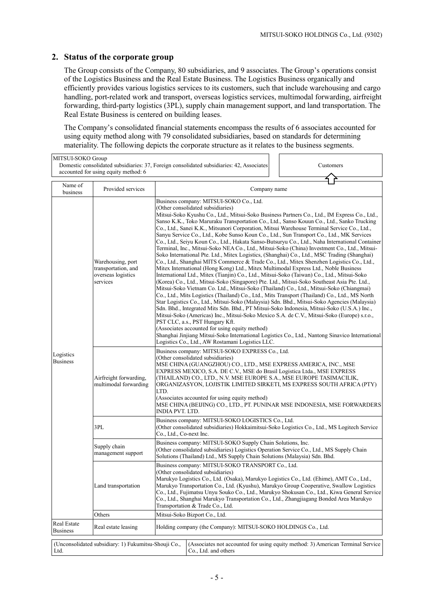# **2. Status of the corporate group**

The Group consists of the Company, 80 subsidiaries, and 9 associates. The Group's operations consist of the Logistics Business and the Real Estate Business. The Logistics Business organically and efficiently provides various logistics services to its customers, such that include warehousing and cargo handling, port-related work and transport, overseas logistics services, multimodal forwarding, airfreight forwarding, third-party logistics (3PL), supply chain management support, and land transportation. The Real Estate Business is centered on building leases.

The Company's consolidated financial statements encompass the results of 6 associates accounted for using equity method along with 79 consolidated subsidiaries, based on standards for determining materiality. The following depicts the corporate structure as it relates to the business segments.

| MITSUI-SOKO Group<br>Domestic consolidated subsidiaries: 37, Foreign consolidated subsidiaries: 42, Associates<br>accounted for using equity method: 6 |                                                                            |                                                                                                                                                                                                                                                                                                                                                                                                                                                                                                            |                                                                                                                                                                                                                                                                                                                                                                                                                                                                                                                                                                                                                                                                                                                                                                                                                                                                                                                                                                                                                                                                                                                                                                                                                                                                                                                                                                                                                                                                                                                                                                                                                                                                                                                                                                                                                                                                                         |                                                                                                                                                                                                                                                                                                                                                              | Customers |                                                                                                                                                   |
|--------------------------------------------------------------------------------------------------------------------------------------------------------|----------------------------------------------------------------------------|------------------------------------------------------------------------------------------------------------------------------------------------------------------------------------------------------------------------------------------------------------------------------------------------------------------------------------------------------------------------------------------------------------------------------------------------------------------------------------------------------------|-----------------------------------------------------------------------------------------------------------------------------------------------------------------------------------------------------------------------------------------------------------------------------------------------------------------------------------------------------------------------------------------------------------------------------------------------------------------------------------------------------------------------------------------------------------------------------------------------------------------------------------------------------------------------------------------------------------------------------------------------------------------------------------------------------------------------------------------------------------------------------------------------------------------------------------------------------------------------------------------------------------------------------------------------------------------------------------------------------------------------------------------------------------------------------------------------------------------------------------------------------------------------------------------------------------------------------------------------------------------------------------------------------------------------------------------------------------------------------------------------------------------------------------------------------------------------------------------------------------------------------------------------------------------------------------------------------------------------------------------------------------------------------------------------------------------------------------------------------------------------------------------|--------------------------------------------------------------------------------------------------------------------------------------------------------------------------------------------------------------------------------------------------------------------------------------------------------------------------------------------------------------|-----------|---------------------------------------------------------------------------------------------------------------------------------------------------|
| Name of<br>Provided services<br>business                                                                                                               |                                                                            |                                                                                                                                                                                                                                                                                                                                                                                                                                                                                                            |                                                                                                                                                                                                                                                                                                                                                                                                                                                                                                                                                                                                                                                                                                                                                                                                                                                                                                                                                                                                                                                                                                                                                                                                                                                                                                                                                                                                                                                                                                                                                                                                                                                                                                                                                                                                                                                                                         | Company name                                                                                                                                                                                                                                                                                                                                                 |           |                                                                                                                                                   |
|                                                                                                                                                        | Warehousing, port<br>transportation, and<br>overseas logistics<br>services |                                                                                                                                                                                                                                                                                                                                                                                                                                                                                                            | Business company: MITSUI-SOKO Co., Ltd.<br>(Other consolidated subsidiaries)<br>Mitsui-Soko Kyushu Co., Ltd., Mitsui-Soko Business Partners Co., Ltd., IM Express Co., Ltd.,<br>Sanso K.K., Toko Maruraku Transportation Co., Ltd., Sanso Kouun Co., Ltd., Sanko Trucking<br>Co., Ltd., Sanei K.K., Mitsunori Corporation, Mitsui Warehouse Terminal Service Co., Ltd.,<br>Sanyu Service Co., Ltd., Kobe Sunso Koun Co., Ltd., Sun Transport Co., Ltd., MK Services<br>Co., Ltd., Seiyu Koun Co., Ltd., Hakata Sanso-Butsuryu Co., Ltd., Naha International Container<br>Terminal, Inc., Mitsui-Soko NEA Co., Ltd., Mitsui-Soko (China) Investment Co., Ltd., Mitsui-<br>Soko International Pte. Ltd., Mitex Logistics, (Shanghai) Co., Ltd., MSC Trading (Shanghai)<br>Co., Ltd., Shanghai MITS Commerce & Trade Co., Ltd., Mitex Shenzhen Logistics Co., Ltd.,<br>Mitex International (Hong Kong) Ltd., Mitex Multimodal Express Ltd., Noble Business<br>International Ltd., Mitex (Tianjin) Co., Ltd., Mitsui-Soko (Taiwan) Co., Ltd., Mitsui-Soko<br>(Korea) Co., Ltd., Mitsui-Soko (Singapore) Pte. Ltd., Mitsui-Soko Southeast Asia Pte. Ltd.,<br>Mitsui-Soko Vietnam Co. Ltd., Mitsui-Soko (Thailand) Co., Ltd., Mitsui-Soko (Chiangmai)<br>Co., Ltd., Mits Logistics (Thailand) Co., Ltd., Mits Transport (Thailand) Co., Ltd., MS North<br>Star Logistics Co., Ltd., Mitsui-Soko (Malaysia) Sdn. Bhd., Mitsui-Soko Agencies (Malaysia)<br>Sdn. Bhd., Integrated Mits Sdn. Bhd., PT Mitsui-Soko Indonesia, Mitsui-Soko (U.S.A.) Inc.,<br>Mitsui-Soko (Americas) Inc., Mitsui-Soko Mexico S.A. de C.V., Mitsui-Soko (Europe) s.r.o.,<br>PST CLC, a.s., PST Hungary Kft.<br>(Associates accounted for using equity method)<br>Shanghai Jinjiang Mitsui-Soko International Logistics Co., Ltd., Nantong Sinavico International<br>Logistics Co., Ltd., AW Rostamani Logistics LLC. |                                                                                                                                                                                                                                                                                                                                                              |           |                                                                                                                                                   |
| Logistics<br><b>Business</b>                                                                                                                           | Airfreight forwarding,<br>multimodal forwarding                            | LTD.<br>INDIA PVT. LTD.                                                                                                                                                                                                                                                                                                                                                                                                                                                                                    |                                                                                                                                                                                                                                                                                                                                                                                                                                                                                                                                                                                                                                                                                                                                                                                                                                                                                                                                                                                                                                                                                                                                                                                                                                                                                                                                                                                                                                                                                                                                                                                                                                                                                                                                                                                                                                                                                         | Business company: MITSUI-SOKO EXPRESS Co., Ltd.<br>(Other consolidated subsidiaries)<br>MSE CHINA (GUANGZHOU) CO., LTD., MSE EXPRESS AMERICA, INC., MSE<br>EXPRESS MEXICO, S.A. DE C.V., MSE do Brasil Logistica Ltda., MSE EXPRESS<br>(THAILAND) CO., LTD., N.V. MSE EUROPE S.A., MSE EUROPE TASIMACILIK,<br>(Associates accounted for using equity method) |           | ORGANIZASYON, LOJISTIK LIMITED SIRKETI, MS EXPRESS SOUTH AFRICA (PTY)<br>MSE CHINA (BEIJING) CO., LTD., PT. PUNINAR MSE INDONESIA, MSE FORWARDERS |
|                                                                                                                                                        | 3PL                                                                        | Co., Ltd., Co-next Inc.                                                                                                                                                                                                                                                                                                                                                                                                                                                                                    |                                                                                                                                                                                                                                                                                                                                                                                                                                                                                                                                                                                                                                                                                                                                                                                                                                                                                                                                                                                                                                                                                                                                                                                                                                                                                                                                                                                                                                                                                                                                                                                                                                                                                                                                                                                                                                                                                         | Business company: MITSUI-SOKO LOGISTICS Co., Ltd.                                                                                                                                                                                                                                                                                                            |           | (Other consolidated subsidiaries) Hokkaimitsui-Soko Logistics Co., Ltd., MS Logitech Service                                                      |
|                                                                                                                                                        | Supply chain<br>management support                                         | Business company: MITSUI-SOKO Supply Chain Solutions, Inc.<br>(Other consolidated subsidiaries) Logistics Operation Service Co., Ltd., MS Supply Chain<br>Solutions (Thailand) Ltd., MS Supply Chain Solutions (Malaysia) Sdn. Bhd.                                                                                                                                                                                                                                                                        |                                                                                                                                                                                                                                                                                                                                                                                                                                                                                                                                                                                                                                                                                                                                                                                                                                                                                                                                                                                                                                                                                                                                                                                                                                                                                                                                                                                                                                                                                                                                                                                                                                                                                                                                                                                                                                                                                         |                                                                                                                                                                                                                                                                                                                                                              |           |                                                                                                                                                   |
|                                                                                                                                                        | Land transportation                                                        | Business company: MITSUI-SOKO TRANSPORT Co., Ltd.<br>(Other consolidated subsidiaries)<br>Marukyo Logistics Co., Ltd. (Osaka), Marukyo Logistics Co., Ltd. (Ehime), AMT Co., Ltd.,<br>Marukyo Transportation Co., Ltd. (Kyushu), Marukyo Group Cooperative, Swallow Logistics<br>Co., Ltd., Fujimatsu Unyu Souko Co., Ltd., Marukyo Shokusan Co., Ltd., Kiwa General Service<br>Co., Ltd., Shanghai Marukyo Transportation Co., Ltd., Zhangjiagang Bonded Area Marukyo<br>Transportation & Trade Co., Ltd. |                                                                                                                                                                                                                                                                                                                                                                                                                                                                                                                                                                                                                                                                                                                                                                                                                                                                                                                                                                                                                                                                                                                                                                                                                                                                                                                                                                                                                                                                                                                                                                                                                                                                                                                                                                                                                                                                                         |                                                                                                                                                                                                                                                                                                                                                              |           |                                                                                                                                                   |
| Real Estate                                                                                                                                            | Others                                                                     |                                                                                                                                                                                                                                                                                                                                                                                                                                                                                                            |                                                                                                                                                                                                                                                                                                                                                                                                                                                                                                                                                                                                                                                                                                                                                                                                                                                                                                                                                                                                                                                                                                                                                                                                                                                                                                                                                                                                                                                                                                                                                                                                                                                                                                                                                                                                                                                                                         | Mitsui-Soko Bizport Co., Ltd.                                                                                                                                                                                                                                                                                                                                |           |                                                                                                                                                   |
| <b>Business</b>                                                                                                                                        | Real estate leasing                                                        |                                                                                                                                                                                                                                                                                                                                                                                                                                                                                                            |                                                                                                                                                                                                                                                                                                                                                                                                                                                                                                                                                                                                                                                                                                                                                                                                                                                                                                                                                                                                                                                                                                                                                                                                                                                                                                                                                                                                                                                                                                                                                                                                                                                                                                                                                                                                                                                                                         | Holding company (the Company): MITSUI-SOKO HOLDINGS Co., Ltd.                                                                                                                                                                                                                                                                                                |           |                                                                                                                                                   |
| Ltd.                                                                                                                                                   | (Unconsolidated subsidiary: 1) Fukumitsu-Shouji Co.,                       |                                                                                                                                                                                                                                                                                                                                                                                                                                                                                                            |                                                                                                                                                                                                                                                                                                                                                                                                                                                                                                                                                                                                                                                                                                                                                                                                                                                                                                                                                                                                                                                                                                                                                                                                                                                                                                                                                                                                                                                                                                                                                                                                                                                                                                                                                                                                                                                                                         | Co., Ltd. and others                                                                                                                                                                                                                                                                                                                                         |           | (Associates not accounted for using equity method: 3) American Terminal Service                                                                   |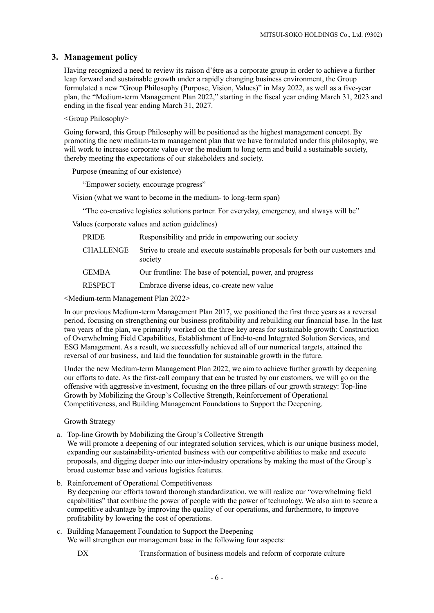# **3. Management policy**

Having recognized a need to review its raison d'être as a corporate group in order to achieve a further leap forward and sustainable growth under a rapidly changing business environment, the Group formulated a new "Group Philosophy (Purpose, Vision, Values)" in May 2022, as well as a five-year plan, the "Medium-term Management Plan 2022," starting in the fiscal year ending March 31, 2023 and ending in the fiscal year ending March 31, 2027.

<Group Philosophy>

Going forward, this Group Philosophy will be positioned as the highest management concept. By promoting the new medium-term management plan that we have formulated under this philosophy, we will work to increase corporate value over the medium to long term and build a sustainable society, thereby meeting the expectations of our stakeholders and society.

Purpose (meaning of our existence)

"Empower society, encourage progress"

Vision (what we want to become in the medium- to long-term span)

"The co-creative logistics solutions partner. For everyday, emergency, and always will be"

Values (corporate values and action guidelines)

| PRIDE            | Responsibility and pride in empowering our society                                       |
|------------------|------------------------------------------------------------------------------------------|
| <b>CHALLENGE</b> | Strive to create and execute sustainable proposals for both our customers and<br>society |
| <b>GEMBA</b>     | Our frontline: The base of potential, power, and progress                                |
| <b>RESPECT</b>   | Embrace diverse ideas, co-create new value                                               |

<Medium-term Management Plan 2022>

In our previous Medium-term Management Plan 2017, we positioned the first three years as a reversal period, focusing on strengthening our business profitability and rebuilding our financial base. In the last two years of the plan, we primarily worked on the three key areas for sustainable growth: Construction of Overwhelming Field Capabilities, Establishment of End-to-end Integrated Solution Services, and ESG Management. As a result, we successfully achieved all of our numerical targets, attained the reversal of our business, and laid the foundation for sustainable growth in the future.

Under the new Medium-term Management Plan 2022, we aim to achieve further growth by deepening our efforts to date. As the first-call company that can be trusted by our customers, we will go on the offensive with aggressive investment, focusing on the three pillars of our growth strategy: Top-line Growth by Mobilizing the Group's Collective Strength, Reinforcement of Operational Competitiveness, and Building Management Foundations to Support the Deepening.

Growth Strategy

a. Top-line Growth by Mobilizing the Group's Collective Strength

We will promote a deepening of our integrated solution services, which is our unique business model, expanding our sustainability-oriented business with our competitive abilities to make and execute proposals, and digging deeper into our inter-industry operations by making the most of the Group's broad customer base and various logistics features.

- b. Reinforcement of Operational Competitiveness By deepening our efforts toward thorough standardization, we will realize our "overwhelming field capabilities" that combine the power of people with the power of technology. We also aim to secure a competitive advantage by improving the quality of our operations, and furthermore, to improve profitability by lowering the cost of operations.
- c. Building Management Foundation to Support the Deepening We will strengthen our management base in the following four aspects:

DX Transformation of business models and reform of corporate culture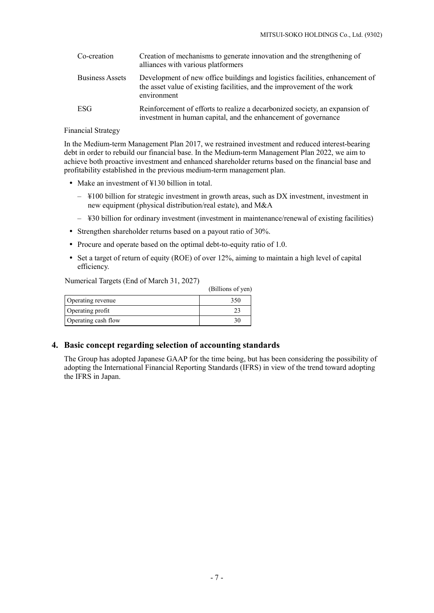| Co-creation            | Creation of mechanisms to generate innovation and the strengthening of<br>alliances with various platformers                                                           |
|------------------------|------------------------------------------------------------------------------------------------------------------------------------------------------------------------|
| <b>Business Assets</b> | Development of new office buildings and logistics facilities, enhancement of<br>the asset value of existing facilities, and the improvement of the work<br>environment |
| ESG                    | Reinforcement of efforts to realize a decarbonized society, an expansion of<br>investment in human capital, and the enhancement of governance                          |

### Financial Strategy

In the Medium-term Management Plan 2017, we restrained investment and reduced interest-bearing debt in order to rebuild our financial base. In the Medium-term Management Plan 2022, we aim to achieve both proactive investment and enhanced shareholder returns based on the financial base and profitability established in the previous medium-term management plan.

- Make an investment of ¥130 billion in total.
	- ¥100 billion for strategic investment in growth areas, such as DX investment, investment in new equipment (physical distribution/real estate), and M&A
	- ¥30 billion for ordinary investment (investment in maintenance/renewal of existing facilities)
- Strengthen shareholder returns based on a payout ratio of 30%.
- Procure and operate based on the optimal debt-to-equity ratio of 1.0.
- Set a target of return of equity (ROE) of over 12%, aiming to maintain a high level of capital efficiency.

Numerical Targets (End of March 31, 2027)

|                     | (Billions of yen) |
|---------------------|-------------------|
| Operating revenue   | 350               |
| Operating profit    |                   |
| Operating cash flow |                   |

### **4. Basic concept regarding selection of accounting standards**

The Group has adopted Japanese GAAP for the time being, but has been considering the possibility of adopting the International Financial Reporting Standards (IFRS) in view of the trend toward adopting the IFRS in Japan.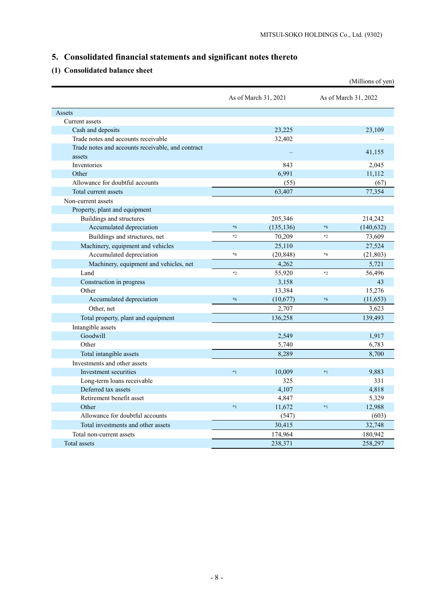# **5. Consolidated financial statements and significant notes thereto**

# **(1) Consolidated balance sheet**

|                                                   |         |                      |         | (Millions of yen)    |
|---------------------------------------------------|---------|----------------------|---------|----------------------|
|                                                   |         | As of March 31, 2021 |         | As of March 31, 2022 |
| Assets                                            |         |                      |         |                      |
| Current assets                                    |         |                      |         |                      |
| Cash and deposits                                 |         | 23,225               |         | 23,109               |
| Trade notes and accounts receivable               |         | 32,402               |         |                      |
| Trade notes and accounts receivable, and contract |         |                      |         | 41,155               |
| assets                                            |         |                      |         |                      |
| Inventories                                       |         | 843                  |         | 2,045                |
| Other                                             |         | 6,991                |         | 11,112               |
| Allowance for doubtful accounts                   |         | (55)                 |         | (67)                 |
| Total current assets                              |         | 63,407               |         | 77,354               |
| Non-current assets                                |         |                      |         |                      |
| Property, plant and equipment                     |         |                      |         |                      |
| Buildings and structures                          |         | 205,346              |         | 214,242              |
| Accumulated depreciation                          | $*_{6}$ | (135, 136)           | $*_{6}$ | (140, 632)           |
| Buildings and structures, net                     | $*2$    | 70,209               | $*2$    | 73,609               |
| Machinery, equipment and vehicles                 |         | 25,110               |         | 27,524               |
| Accumulated depreciation                          | $*_{6}$ | (20, 848)            | *6      | (21, 803)            |
| Machinery, equipment and vehicles, net            |         | 4,262                |         | 5,721                |
| Land                                              | $*2$    | 55,920               | $*2$    | 56,496               |
| Construction in progress                          |         | 3,158                |         | 43                   |
| Other                                             |         | 13,384               |         | 15,276               |
| Accumulated depreciation                          | $*6$    | (10,677)             | $*_{6}$ | (11, 653)            |
| Other, net                                        |         | 2,707                |         | 3,623                |
| Total property, plant and equipment               |         | 136,258              |         | 139,493              |
| Intangible assets                                 |         |                      |         |                      |
| Goodwill                                          |         | 2,549                |         | 1,917                |
| Other                                             |         | 5,740                |         | 6,783                |
| Total intangible assets                           |         | 8,289                |         | 8,700                |
| Investments and other assets                      |         |                      |         |                      |
| Investment securities                             | $*1$    | 10,009               | $*1$    | 9,883                |
| Long-term loans receivable                        |         | 325                  |         | 331                  |
| Deferred tax assets                               |         | 4,107                |         | 4,818                |
| Retirement benefit asset                          |         | 4,847                |         | 5,329                |
| Other                                             | $*1$    | 11,672               | $*1$    | 12,988               |
| Allowance for doubtful accounts                   |         | (547)                |         | (603)                |
| Total investments and other assets                |         | 30,415               |         | 32,748               |
| Total non-current assets                          |         | 174,964              |         | 180,942              |
| Total assets                                      |         | 238,371              |         | 258,297              |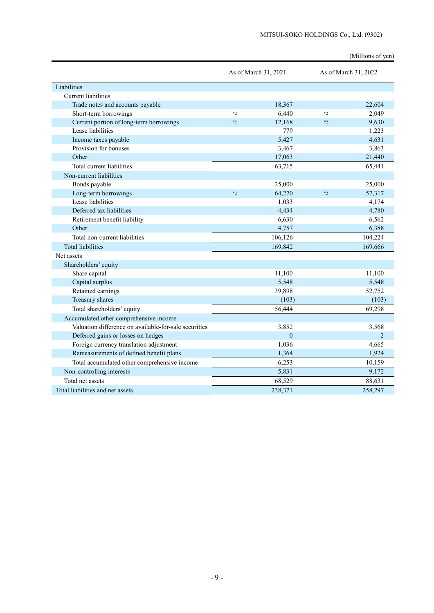|                                                       |      |                      |      | (Millions of yen)    |
|-------------------------------------------------------|------|----------------------|------|----------------------|
|                                                       |      | As of March 31, 2021 |      | As of March 31, 2022 |
| Liabilities                                           |      |                      |      |                      |
| Current liabilities                                   |      |                      |      |                      |
| Trade notes and accounts payable                      |      | 18,367               |      | 22,604               |
| Short-term borrowings                                 | $*2$ | 6,440                | $*2$ | 2,049                |
| Current portion of long-term borrowings               | $*2$ | 12,168               | $*2$ | 9.630                |
| Lease liabilities                                     |      | 779                  |      | 1,223                |
| Income taxes payable                                  |      | 5,427                |      | 4,631                |
| Provision for bonuses                                 |      | 3,467                |      | 3,863                |
| Other                                                 |      | 17,063               |      | 21,440               |
| Total current liabilities                             |      | 63,715               |      | 65,441               |
| Non-current liabilities                               |      |                      |      |                      |
| Bonds payable                                         |      | 25,000               |      | 25,000               |
| Long-term borrowings                                  | $*2$ | 64,270               | $*2$ | 57,317               |
| Lease liabilities                                     |      | 1,033                |      | 4,174                |
| Deferred tax liabilities                              |      | 4,434                |      | 4,780                |
| Retirement benefit liability                          |      | 6,630                |      | 6,562                |
| Other                                                 |      | 4,757                |      | 6,388                |
| Total non-current liabilities                         |      | 106,126              |      | 104,224              |
| <b>Total liabilities</b>                              |      | 169,842              |      | 169,666              |
| Net assets                                            |      |                      |      |                      |
| Shareholders' equity                                  |      |                      |      |                      |
| Share capital                                         |      | 11,100               |      | 11,100               |
| Capital surplus                                       |      | 5,548                |      | 5,548                |
| Retained earnings                                     |      | 39,898               |      | 52,752               |
| Treasury shares                                       |      | (103)                |      | (103)                |
| Total shareholders' equity                            |      | 56,444               |      | 69,298               |
| Accumulated other comprehensive income                |      |                      |      |                      |
| Valuation difference on available-for-sale securities |      | 3,852                |      | 3,568                |
| Deferred gains or losses on hedges                    |      | $\mathbf{0}$         |      | $\overline{2}$       |
| Foreign currency translation adjustment               |      | 1,036                |      | 4,665                |
| Remeasurements of defined benefit plans               |      | 1,364                |      | 1,924                |
| Total accumulated other comprehensive income          |      | 6,253                |      | 10,159               |
| Non-controlling interests                             |      | 5,831                |      | 9,172                |
| Total net assets                                      |      | 68,529               |      | 88,631               |
| Total liabilities and net assets                      |      | 238,371              |      | 258,297              |

#### MITSUI-SOKO HOLDINGS Co., Ltd. (9302)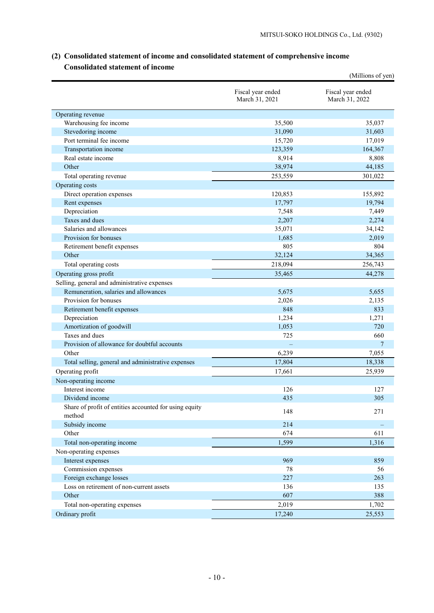|                                                        |                                     | (Millions of yen)                   |
|--------------------------------------------------------|-------------------------------------|-------------------------------------|
|                                                        | Fiscal year ended<br>March 31, 2021 | Fiscal year ended<br>March 31, 2022 |
| Operating revenue                                      |                                     |                                     |
| Warehousing fee income                                 | 35,500                              | 35,037                              |
| Stevedoring income                                     | 31,090                              | 31,603                              |
| Port terminal fee income                               | 15,720                              | 17,019                              |
| Transportation income                                  | 123,359                             | 164,367                             |
| Real estate income                                     | 8,914                               | 8,808                               |
| Other                                                  | 38,974                              | 44,185                              |
| Total operating revenue                                | 253,559                             | 301,022                             |
| Operating costs                                        |                                     |                                     |
| Direct operation expenses                              | 120,853                             | 155,892                             |
| Rent expenses                                          | 17,797                              | 19,794                              |
| Depreciation                                           | 7,548                               | 7,449                               |
| Taxes and dues                                         | 2,207                               | 2,274                               |
| Salaries and allowances                                | 35,071                              | 34,142                              |
| Provision for bonuses                                  | 1,685                               | 2,019                               |
| Retirement benefit expenses                            | 805                                 | 804                                 |
| Other                                                  | 32,124                              | 34,365                              |
| Total operating costs                                  | 218,094                             | 256,743                             |
| Operating gross profit                                 | 35,465                              | 44,278                              |
| Selling, general and administrative expenses           |                                     |                                     |
| Remuneration, salaries and allowances                  | 5,675                               | 5,655                               |
| Provision for bonuses                                  | 2,026                               | 2,135                               |
| Retirement benefit expenses                            | 848                                 | 833                                 |
| Depreciation                                           | 1,234                               | 1,271                               |
| Amortization of goodwill                               | 1,053                               | 720                                 |
| Taxes and dues                                         | 725                                 | 660                                 |
| Provision of allowance for doubtful accounts           |                                     | 7                                   |
| Other                                                  | 6,239                               | 7,055                               |
| Total selling, general and administrative expenses     | 17,804                              | 18,338                              |
| Operating profit                                       | 17,661                              | 25,939                              |
| Non-operating income                                   |                                     |                                     |
| Interest income                                        | 126                                 | 127                                 |
| Dividend income                                        | 435                                 | 305                                 |
| Share of profit of entities accounted for using equity |                                     |                                     |
| method                                                 | 148                                 | 271                                 |
| Subsidy income                                         | 214                                 |                                     |
| Other                                                  | 674                                 | 611                                 |
| Total non-operating income                             | 1,599                               | 1,316                               |
| Non-operating expenses                                 |                                     |                                     |
| Interest expenses                                      | 969                                 | 859                                 |
| Commission expenses                                    | 78                                  | 56                                  |
| Foreign exchange losses                                | 227                                 | 263                                 |
| Loss on retirement of non-current assets               | 136                                 | 135                                 |
| Other                                                  | 607                                 | 388                                 |
| Total non-operating expenses                           | 2,019                               | 1,702                               |
| Ordinary profit                                        | 17,240                              | 25,553                              |
|                                                        |                                     |                                     |

# **(2) Consolidated statement of income and consolidated statement of comprehensive income Consolidated statement of income**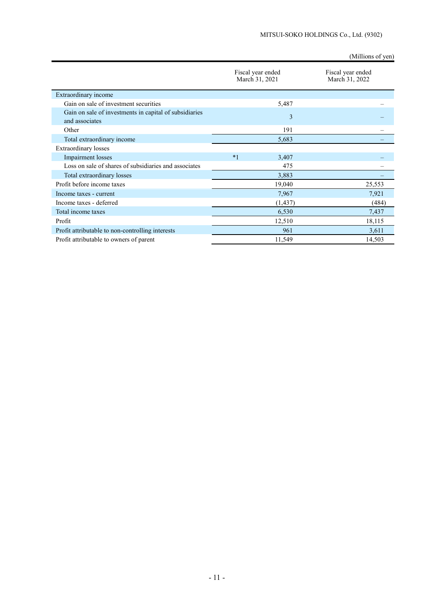(Millions of yen)

|                                                                          | Fiscal year ended<br>March 31, 2021 |          | Fiscal year ended<br>March 31, 2022 |
|--------------------------------------------------------------------------|-------------------------------------|----------|-------------------------------------|
| Extraordinary income                                                     |                                     |          |                                     |
| Gain on sale of investment securities                                    |                                     | 5,487    |                                     |
| Gain on sale of investments in capital of subsidiaries<br>and associates |                                     | 3        |                                     |
| Other                                                                    |                                     | 191      |                                     |
| Total extraordinary income                                               |                                     | 5,683    |                                     |
| <b>Extraordinary losses</b>                                              |                                     |          |                                     |
| Impairment losses                                                        | $*1$                                | 3,407    |                                     |
| Loss on sale of shares of subsidiaries and associates                    |                                     | 475      |                                     |
| Total extraordinary losses                                               |                                     | 3,883    |                                     |
| Profit before income taxes                                               |                                     | 19,040   | 25,553                              |
| Income taxes - current                                                   |                                     | 7,967    | 7,921                               |
| Income taxes - deferred                                                  |                                     | (1, 437) | (484)                               |
| Total income taxes                                                       |                                     | 6,530    | 7,437                               |
| Profit                                                                   |                                     | 12,510   | 18,115                              |
| Profit attributable to non-controlling interests                         |                                     | 961      | 3,611                               |
| Profit attributable to owners of parent                                  |                                     | 11,549   | 14,503                              |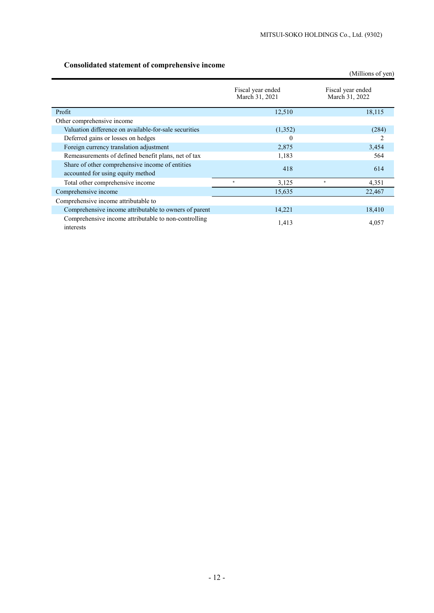# **Consolidated statement of comprehensive income**

|                                                                                      |                                     | (Millions of yen)                   |
|--------------------------------------------------------------------------------------|-------------------------------------|-------------------------------------|
|                                                                                      | Fiscal year ended<br>March 31, 2021 | Fiscal year ended<br>March 31, 2022 |
| Profit                                                                               | 12,510                              | 18,115                              |
| Other comprehensive income                                                           |                                     |                                     |
| Valuation difference on available-for-sale securities                                | (1,352)                             | (284)                               |
| Deferred gains or losses on hedges                                                   | 0                                   |                                     |
| Foreign currency translation adjustment                                              | 2,875                               | 3,454                               |
| Remeasurements of defined benefit plans, net of tax                                  | 1,183                               | 564                                 |
| Share of other comprehensive income of entities<br>accounted for using equity method | 418                                 | 614                                 |
| Total other comprehensive income                                                     | 3,125<br>$\ast$                     | 4,351<br>$\frac{1}{2}$              |
| Comprehensive income                                                                 | 15,635                              | 22,467                              |
| Comprehensive income attributable to                                                 |                                     |                                     |
| Comprehensive income attributable to owners of parent                                | 14,221                              | 18,410                              |
| Comprehensive income attributable to non-controlling<br>interests                    | 1,413                               | 4,057                               |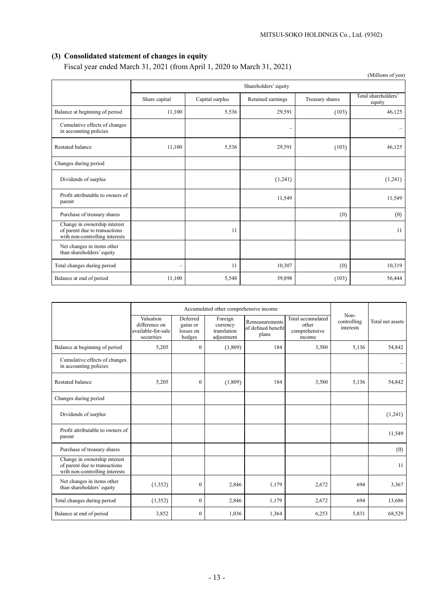# **(3) Consolidated statement of changes in equity**

Fiscal year ended March 31, 2021 (from April 1, 2020 to March 31, 2021)

|                                                                                                 |                          |                 |                          |                 | (Millions of yen)             |
|-------------------------------------------------------------------------------------------------|--------------------------|-----------------|--------------------------|-----------------|-------------------------------|
|                                                                                                 | Shareholders' equity     |                 |                          |                 |                               |
|                                                                                                 | Share capital            | Capital surplus | Retained earnings        | Treasury shares | Total shareholders'<br>equity |
| Balance at beginning of period                                                                  | 11,100                   | 5,536           | 29,591                   | (103)           | 46,125                        |
| Cumulative effects of changes<br>in accounting policies                                         |                          |                 | $\overline{\phantom{0}}$ |                 |                               |
| Restated balance                                                                                | 11,100                   | 5,536           | 29,591                   | (103)           | 46,125                        |
| Changes during period                                                                           |                          |                 |                          |                 |                               |
| Dividends of surplus                                                                            |                          |                 | (1,241)                  |                 | (1,241)                       |
| Profit attributable to owners of<br>parent                                                      |                          |                 | 11,549                   |                 | 11,549                        |
| Purchase of treasury shares                                                                     |                          |                 |                          | (0)             | (0)                           |
| Change in ownership interest<br>of parent due to transactions<br>with non-controlling interests |                          | 11              |                          |                 | 11                            |
| Net changes in items other<br>than shareholders' equity                                         |                          |                 |                          |                 |                               |
| Total changes during period                                                                     | $\overline{\phantom{0}}$ | 11              | 10,307                   | (0)             | 10,319                        |
| Balance at end of period                                                                        | 11,100                   | 5,548           | 39,898                   | (103)           | 56,444                        |

|                                                                                                 | Accumulated other comprehensive income                         |                                             |                                                  |                                               |                                                       |                                  |                  |
|-------------------------------------------------------------------------------------------------|----------------------------------------------------------------|---------------------------------------------|--------------------------------------------------|-----------------------------------------------|-------------------------------------------------------|----------------------------------|------------------|
|                                                                                                 | Valuation<br>difference on<br>available-for-sale<br>securities | Deferred<br>gains or<br>losses on<br>hedges | Foreign<br>currency<br>translation<br>adjustment | Remeasurements<br>of defined benefit<br>plans | Total accumulated<br>other<br>comprehensive<br>income | Non-<br>controlling<br>interests | Total net assets |
| Balance at beginning of period                                                                  | 5,205                                                          | $\theta$                                    | (1,809)                                          | 184                                           | 3,580                                                 | 5,136                            | 54,842           |
| Cumulative effects of changes<br>in accounting policies                                         |                                                                |                                             |                                                  |                                               |                                                       |                                  |                  |
| <b>Restated balance</b>                                                                         | 5,205                                                          | $\mathbf{0}$                                | (1,809)                                          | 184                                           | 3,580                                                 | 5,136                            | 54,842           |
| Changes during period                                                                           |                                                                |                                             |                                                  |                                               |                                                       |                                  |                  |
| Dividends of surplus                                                                            |                                                                |                                             |                                                  |                                               |                                                       |                                  | (1,241)          |
| Profit attributable to owners of<br>parent                                                      |                                                                |                                             |                                                  |                                               |                                                       |                                  | 11,549           |
| Purchase of treasury shares                                                                     |                                                                |                                             |                                                  |                                               |                                                       |                                  | (0)              |
| Change in ownership interest<br>of parent due to transactions<br>with non-controlling interests |                                                                |                                             |                                                  |                                               |                                                       |                                  | 11               |
| Net changes in items other<br>than shareholders' equity                                         | (1,352)                                                        | $\theta$                                    | 2,846                                            | 1,179                                         | 2,672                                                 | 694                              | 3,367            |
| Total changes during period                                                                     | (1, 352)                                                       | $\theta$                                    | 2,846                                            | 1,179                                         | 2,672                                                 | 694                              | 13,686           |
| Balance at end of period                                                                        | 3,852                                                          | $\theta$                                    | 1,036                                            | 1,364                                         | 6,253                                                 | 5,831                            | 68,529           |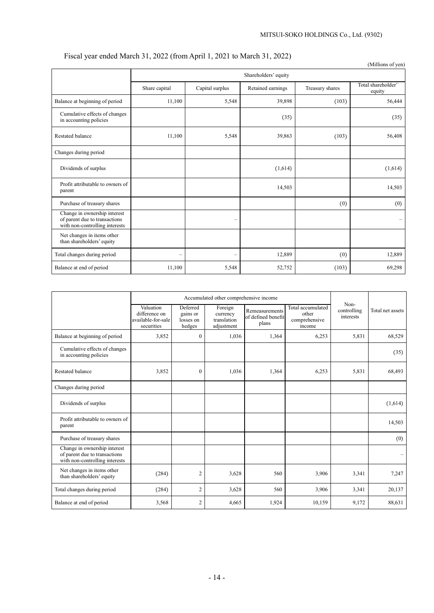# Fiscal year ended March 31, 2022 (from April 1, 2021 to March 31, 2022)

|                                                                                                 |                          |                          |                   |                 | (Millions of yen)            |  |
|-------------------------------------------------------------------------------------------------|--------------------------|--------------------------|-------------------|-----------------|------------------------------|--|
|                                                                                                 | Shareholders' equity     |                          |                   |                 |                              |  |
|                                                                                                 | Share capital            | Capital surplus          | Retained earnings | Treasury shares | Total shareholder'<br>equity |  |
| Balance at beginning of period                                                                  | 11,100                   | 5,548                    | 39,898            | (103)           | 56,444                       |  |
| Cumulative effects of changes<br>in accounting policies                                         |                          |                          | (35)              |                 | (35)                         |  |
| <b>Restated balance</b>                                                                         | 11,100                   | 5,548                    | 39,863            | (103)           | 56,408                       |  |
| Changes during period                                                                           |                          |                          |                   |                 |                              |  |
| Dividends of surplus                                                                            |                          |                          | (1,614)           |                 | (1,614)                      |  |
| Profit attributable to owners of<br>parent                                                      |                          |                          | 14,503            |                 | 14,503                       |  |
| Purchase of treasury shares                                                                     |                          |                          |                   | (0)             | (0)                          |  |
| Change in ownership interest<br>of parent due to transactions<br>with non-controlling interests |                          | $\overline{\phantom{0}}$ |                   |                 | —                            |  |
| Net changes in items other<br>than shareholders' equity                                         |                          |                          |                   |                 |                              |  |
| Total changes during period                                                                     | $\overline{\phantom{m}}$ | $\overline{\phantom{0}}$ | 12,889            | (0)             | 12,889                       |  |
| Balance at end of period                                                                        | 11,100                   | 5,548                    | 52,752            | (103)           | 69,298                       |  |

|                                                                                                 | Accumulated other comprehensive income                         |                                             |                                                  |                                               |                                                       |                                  |                  |
|-------------------------------------------------------------------------------------------------|----------------------------------------------------------------|---------------------------------------------|--------------------------------------------------|-----------------------------------------------|-------------------------------------------------------|----------------------------------|------------------|
|                                                                                                 | Valuation<br>difference on<br>available-for-sale<br>securities | Deferred<br>gains or<br>losses on<br>hedges | Foreign<br>currency<br>translation<br>adjustment | Remeasurements<br>of defined benefit<br>plans | Total accumulated<br>other<br>comprehensive<br>income | Non-<br>controlling<br>interests | Total net assets |
| Balance at beginning of period                                                                  | 3,852                                                          | $\overline{0}$                              | 1,036                                            | 1,364                                         | 6,253                                                 | 5,831                            | 68,529           |
| Cumulative effects of changes<br>in accounting policies                                         |                                                                |                                             |                                                  |                                               |                                                       |                                  | (35)             |
| <b>Restated balance</b>                                                                         | 3,852                                                          | $\mathbf{0}$                                | 1,036                                            | 1,364                                         | 6,253                                                 | 5,831                            | 68,493           |
| Changes during period                                                                           |                                                                |                                             |                                                  |                                               |                                                       |                                  |                  |
| Dividends of surplus                                                                            |                                                                |                                             |                                                  |                                               |                                                       |                                  | (1,614)          |
| Profit attributable to owners of<br>parent                                                      |                                                                |                                             |                                                  |                                               |                                                       |                                  | 14,503           |
| Purchase of treasury shares                                                                     |                                                                |                                             |                                                  |                                               |                                                       |                                  | (0)              |
| Change in ownership interest<br>of parent due to transactions<br>with non-controlling interests |                                                                |                                             |                                                  |                                               |                                                       |                                  |                  |
| Net changes in items other<br>than shareholders' equity                                         | (284)                                                          | $\overline{2}$                              | 3,628                                            | 560                                           | 3,906                                                 | 3,341                            | 7,247            |
| Total changes during period                                                                     | (284)                                                          | $\overline{2}$                              | 3,628                                            | 560                                           | 3,906                                                 | 3,341                            | 20,137           |
| Balance at end of period                                                                        | 3,568                                                          | $\overline{2}$                              | 4,665                                            | 1,924                                         | 10,159                                                | 9,172                            | 88,631           |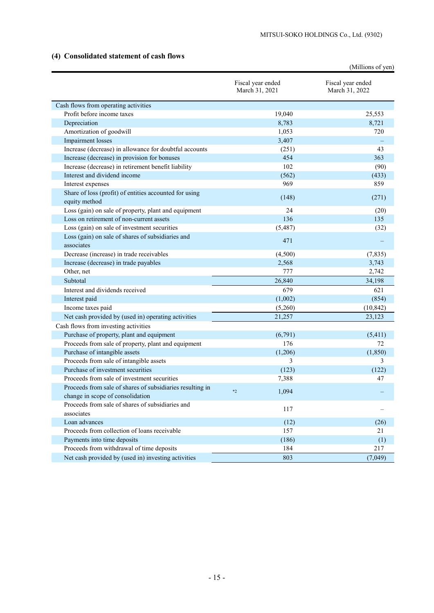# **(4) Consolidated statement of cash flows**

|                                                                         |                                     | (Millions of yen)                   |
|-------------------------------------------------------------------------|-------------------------------------|-------------------------------------|
|                                                                         | Fiscal year ended<br>March 31, 2021 | Fiscal year ended<br>March 31, 2022 |
| Cash flows from operating activities                                    |                                     |                                     |
| Profit before income taxes                                              | 19,040                              | 25,553                              |
| Depreciation                                                            | 8,783                               | 8,721                               |
| Amortization of goodwill                                                | 1,053                               | 720                                 |
| <b>Impairment</b> losses                                                | 3,407                               |                                     |
| Increase (decrease) in allowance for doubtful accounts                  | (251)                               | 43                                  |
| Increase (decrease) in provision for bonuses                            | 454                                 | 363                                 |
| Increase (decrease) in retirement benefit liability                     | 102                                 | (90)                                |
| Interest and dividend income                                            | (562)                               | (433)                               |
| Interest expenses                                                       | 969                                 | 859                                 |
| Share of loss (profit) of entities accounted for using<br>equity method | (148)                               | (271)                               |
| Loss (gain) on sale of property, plant and equipment                    | 24                                  | (20)                                |
| Loss on retirement of non-current assets                                | 136                                 | 135                                 |
| Loss (gain) on sale of investment securities                            | (5,487)                             | (32)                                |
| Loss (gain) on sale of shares of subsidiaries and<br>associates         | 471                                 |                                     |
| Decrease (increase) in trade receivables                                | (4,500)                             | (7, 835)                            |
| Increase (decrease) in trade payables                                   | 2,568                               | 3,743                               |
| Other, net                                                              | 777                                 | 2,742                               |
| Subtotal                                                                | 26,840                              | 34,198                              |
| Interest and dividends received                                         | 679                                 | 621                                 |
| Interest paid                                                           | (1,002)                             | (854)                               |
| Income taxes paid                                                       | (5,260)                             | (10, 842)                           |
| Net cash provided by (used in) operating activities                     | 21,257                              | 23,123                              |
| Cash flows from investing activities                                    |                                     |                                     |
| Purchase of property, plant and equipment                               | (6,791)                             | (5,411)                             |
| Proceeds from sale of property, plant and equipment                     | 176                                 | 72                                  |
| Purchase of intangible assets                                           | (1,206)                             | (1, 850)                            |
| Proceeds from sale of intangible assets                                 | 3                                   | 3                                   |
| Purchase of investment securities                                       | (123)                               | (122)                               |
| Proceeds from sale of investment securities                             | 7,388                               | 47                                  |
| Proceeds from sale of shares of subsidiaries resulting in               | 1,094<br>$*2$                       |                                     |
| change in scope of consolidation                                        |                                     |                                     |
| Proceeds from sale of shares of subsidiaries and                        | 117                                 |                                     |
| associates                                                              |                                     |                                     |
| Loan advances                                                           | (12)                                | (26)                                |
| Proceeds from collection of loans receivable                            | 157                                 | 21                                  |
| Payments into time deposits                                             | (186)                               | (1)                                 |
| Proceeds from withdrawal of time deposits                               | 184                                 | 217                                 |
| Net cash provided by (used in) investing activities                     | 803                                 | (7,049)                             |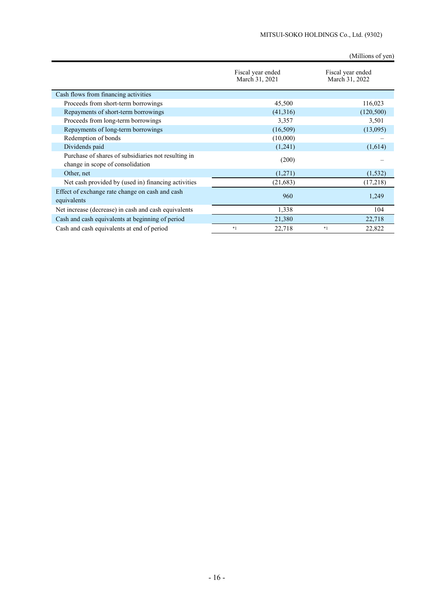(Millions of yen)

|                                                                                         | Fiscal year ended<br>March 31, 2021 | Fiscal year ended<br>March 31, 2022 |
|-----------------------------------------------------------------------------------------|-------------------------------------|-------------------------------------|
| Cash flows from financing activities                                                    |                                     |                                     |
| Proceeds from short-term borrowings                                                     | 45,500                              | 116,023                             |
| Repayments of short-term borrowings                                                     | (41,316)                            | (120, 500)                          |
| Proceeds from long-term borrowings                                                      | 3,357                               | 3,501                               |
| Repayments of long-term borrowings                                                      | (16,509)                            | (13,095)                            |
| Redemption of bonds                                                                     | (10,000)                            |                                     |
| Dividends paid                                                                          | (1,241)                             | (1,614)                             |
| Purchase of shares of subsidiaries not resulting in<br>change in scope of consolidation | (200)                               |                                     |
| Other, net                                                                              | (1,271)                             | (1, 532)                            |
| Net cash provided by (used in) financing activities                                     | (21, 683)                           | (17,218)                            |
| Effect of exchange rate change on cash and cash<br>equivalents                          | 960                                 | 1,249                               |
| Net increase (decrease) in cash and cash equivalents                                    | 1,338                               | 104                                 |
| Cash and cash equivalents at beginning of period                                        | 21,380                              | 22,718                              |
| Cash and cash equivalents at end of period                                              | 22,718<br>$*1$                      | 22,822<br>$*1$                      |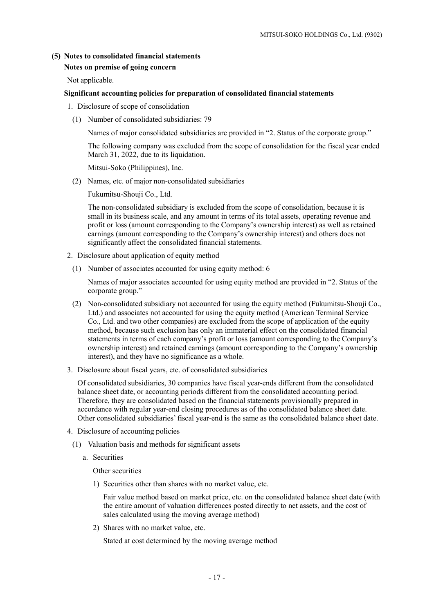### **(5) Notes to consolidated financial statements**

### **Notes on premise of going concern**

Not applicable.

### **Significant accounting policies for preparation of consolidated financial statements**

- 1. Disclosure of scope of consolidation
	- (1) Number of consolidated subsidiaries: 79

Names of major consolidated subsidiaries are provided in "2. Status of the corporate group."

The following company was excluded from the scope of consolidation for the fiscal year ended March 31, 2022, due to its liquidation.

Mitsui-Soko (Philippines), Inc.

(2) Names, etc. of major non-consolidated subsidiaries

Fukumitsu-Shouji Co., Ltd.

The non-consolidated subsidiary is excluded from the scope of consolidation, because it is small in its business scale, and any amount in terms of its total assets, operating revenue and profit or loss (amount corresponding to the Company's ownership interest) as well as retained earnings (amount corresponding to the Company's ownership interest) and others does not significantly affect the consolidated financial statements.

- 2. Disclosure about application of equity method
	- (1) Number of associates accounted for using equity method: 6

Names of major associates accounted for using equity method are provided in "2. Status of the corporate group."

- (2) Non-consolidated subsidiary not accounted for using the equity method (Fukumitsu-Shouji Co., Ltd.) and associates not accounted for using the equity method (American Terminal Service Co., Ltd. and two other companies) are excluded from the scope of application of the equity method, because such exclusion has only an immaterial effect on the consolidated financial statements in terms of each company's profit or loss (amount corresponding to the Company's ownership interest) and retained earnings (amount corresponding to the Company's ownership interest), and they have no significance as a whole.
- 3. Disclosure about fiscal years, etc. of consolidated subsidiaries

Of consolidated subsidiaries, 30 companies have fiscal year-ends different from the consolidated balance sheet date, or accounting periods different from the consolidated accounting period. Therefore, they are consolidated based on the financial statements provisionally prepared in accordance with regular year-end closing procedures as of the consolidated balance sheet date. Other consolidated subsidiaries' fiscal year-end is the same as the consolidated balance sheet date.

- 4. Disclosure of accounting policies
	- (1) Valuation basis and methods for significant assets
		- a. Securities

Other securities

1) Securities other than shares with no market value, etc.

Fair value method based on market price, etc. on the consolidated balance sheet date (with the entire amount of valuation differences posted directly to net assets, and the cost of sales calculated using the moving average method)

2) Shares with no market value, etc.

Stated at cost determined by the moving average method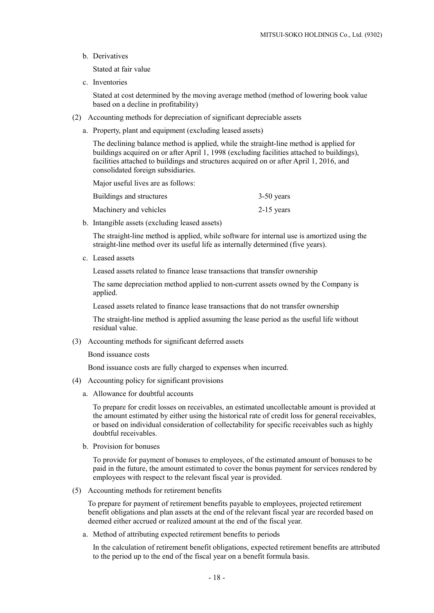b. Derivatives

Stated at fair value

c. Inventories

Stated at cost determined by the moving average method (method of lowering book value based on a decline in profitability)

- (2) Accounting methods for depreciation of significant depreciable assets
	- a. Property, plant and equipment (excluding leased assets)

The declining balance method is applied, while the straight-line method is applied for buildings acquired on or after April 1, 1998 (excluding facilities attached to buildings), facilities attached to buildings and structures acquired on or after April 1, 2016, and consolidated foreign subsidiaries.

Major useful lives are as follows:

| Buildings and structures | $3-50$ years |
|--------------------------|--------------|
| Machinery and vehicles   | $2-15$ years |

b. Intangible assets (excluding leased assets)

The straight-line method is applied, while software for internal use is amortized using the straight-line method over its useful life as internally determined (five years).

c. Leased assets

Leased assets related to finance lease transactions that transfer ownership

The same depreciation method applied to non-current assets owned by the Company is applied.

Leased assets related to finance lease transactions that do not transfer ownership

The straight-line method is applied assuming the lease period as the useful life without residual value.

(3) Accounting methods for significant deferred assets

Bond issuance costs

Bond issuance costs are fully charged to expenses when incurred.

- (4) Accounting policy for significant provisions
	- a. Allowance for doubtful accounts

To prepare for credit losses on receivables, an estimated uncollectable amount is provided at the amount estimated by either using the historical rate of credit loss for general receivables, or based on individual consideration of collectability for specific receivables such as highly doubtful receivables.

b. Provision for bonuses

To provide for payment of bonuses to employees, of the estimated amount of bonuses to be paid in the future, the amount estimated to cover the bonus payment for services rendered by employees with respect to the relevant fiscal year is provided.

(5) Accounting methods for retirement benefits

To prepare for payment of retirement benefits payable to employees, projected retirement benefit obligations and plan assets at the end of the relevant fiscal year are recorded based on deemed either accrued or realized amount at the end of the fiscal year.

a. Method of attributing expected retirement benefits to periods

In the calculation of retirement benefit obligations, expected retirement benefits are attributed to the period up to the end of the fiscal year on a benefit formula basis.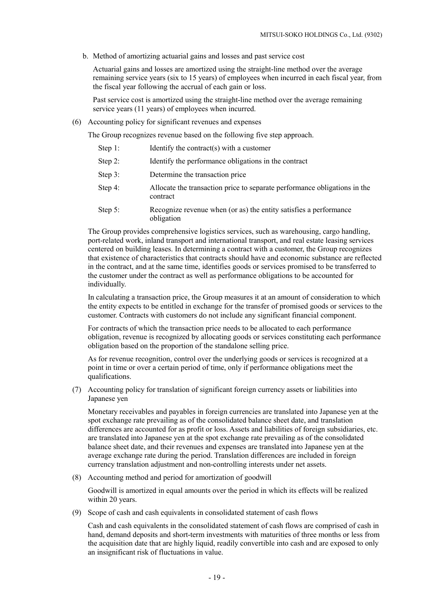b. Method of amortizing actuarial gains and losses and past service cost

Actuarial gains and losses are amortized using the straight-line method over the average remaining service years (six to 15 years) of employees when incurred in each fiscal year, from the fiscal year following the accrual of each gain or loss.

Past service cost is amortized using the straight-line method over the average remaining service years (11 years) of employees when incurred.

(6) Accounting policy for significant revenues and expenses

The Group recognizes revenue based on the following five step approach.

| Step 1: |  | Identify the contract(s) with a customer |  |
|---------|--|------------------------------------------|--|
|---------|--|------------------------------------------|--|

- Step 2: Identify the performance obligations in the contract
- Step 3: Determine the transaction price
- Step 4: Allocate the transaction price to separate performance obligations in the contract
- Step 5: Recognize revenue when (or as) the entity satisfies a performance obligation

The Group provides comprehensive logistics services, such as warehousing, cargo handling, port-related work, inland transport and international transport, and real estate leasing services centered on building leases. In determining a contract with a customer, the Group recognizes that existence of characteristics that contracts should have and economic substance are reflected in the contract, and at the same time, identifies goods or services promised to be transferred to the customer under the contract as well as performance obligations to be accounted for individually.

In calculating a transaction price, the Group measures it at an amount of consideration to which the entity expects to be entitled in exchange for the transfer of promised goods or services to the customer. Contracts with customers do not include any significant financial component.

For contracts of which the transaction price needs to be allocated to each performance obligation, revenue is recognized by allocating goods or services constituting each performance obligation based on the proportion of the standalone selling price.

As for revenue recognition, control over the underlying goods or services is recognized at a point in time or over a certain period of time, only if performance obligations meet the qualifications.

(7) Accounting policy for translation of significant foreign currency assets or liabilities into Japanese yen

Monetary receivables and payables in foreign currencies are translated into Japanese yen at the spot exchange rate prevailing as of the consolidated balance sheet date, and translation differences are accounted for as profit or loss. Assets and liabilities of foreign subsidiaries, etc. are translated into Japanese yen at the spot exchange rate prevailing as of the consolidated balance sheet date, and their revenues and expenses are translated into Japanese yen at the average exchange rate during the period. Translation differences are included in foreign currency translation adjustment and non-controlling interests under net assets.

(8) Accounting method and period for amortization of goodwill

Goodwill is amortized in equal amounts over the period in which its effects will be realized within 20 years.

(9) Scope of cash and cash equivalents in consolidated statement of cash flows

Cash and cash equivalents in the consolidated statement of cash flows are comprised of cash in hand, demand deposits and short-term investments with maturities of three months or less from the acquisition date that are highly liquid, readily convertible into cash and are exposed to only an insignificant risk of fluctuations in value.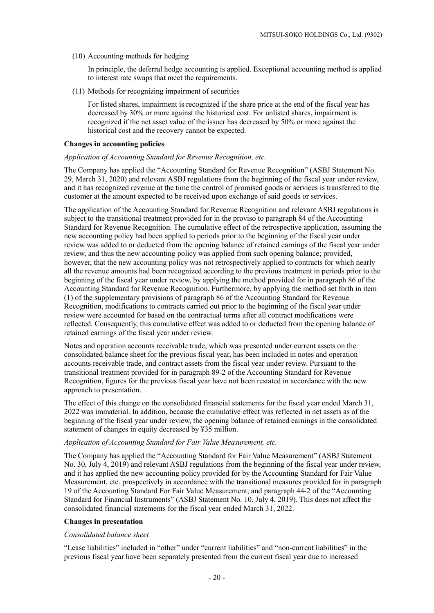(10) Accounting methods for hedging

In principle, the deferral hedge accounting is applied. Exceptional accounting method is applied to interest rate swaps that meet the requirements.

(11) Methods for recognizing impairment of securities

For listed shares, impairment is recognized if the share price at the end of the fiscal year has decreased by 30% or more against the historical cost. For unlisted shares, impairment is recognized if the net asset value of the issuer has decreased by 50% or more against the historical cost and the recovery cannot be expected.

#### **Changes in accounting policies**

#### *Application of Accounting Standard for Revenue Recognition, etc.*

The Company has applied the "Accounting Standard for Revenue Recognition" (ASBJ Statement No. 29, March 31, 2020) and relevant ASBJ regulations from the beginning of the fiscal year under review, and it has recognized revenue at the time the control of promised goods or services is transferred to the customer at the amount expected to be received upon exchange of said goods or services.

The application of the Accounting Standard for Revenue Recognition and relevant ASBJ regulations is subject to the transitional treatment provided for in the proviso to paragraph 84 of the Accounting Standard for Revenue Recognition. The cumulative effect of the retrospective application, assuming the new accounting policy had been applied to periods prior to the beginning of the fiscal year under review was added to or deducted from the opening balance of retained earnings of the fiscal year under review, and thus the new accounting policy was applied from such opening balance; provided, however, that the new accounting policy was not retrospectively applied to contracts for which nearly all the revenue amounts had been recognized according to the previous treatment in periods prior to the beginning of the fiscal year under review, by applying the method provided for in paragraph 86 of the Accounting Standard for Revenue Recognition. Furthermore, by applying the method set forth in item (1) of the supplementary provisions of paragraph 86 of the Accounting Standard for Revenue Recognition, modifications to contracts carried out prior to the beginning of the fiscal year under review were accounted for based on the contractual terms after all contract modifications were reflected. Consequently, this cumulative effect was added to or deducted from the opening balance of retained earnings of the fiscal year under review.

Notes and operation accounts receivable trade, which was presented under current assets on the consolidated balance sheet for the previous fiscal year, has been included in notes and operation accounts receivable trade, and contract assets from the fiscal year under review. Pursuant to the transitional treatment provided for in paragraph 89-2 of the Accounting Standard for Revenue Recognition, figures for the previous fiscal year have not been restated in accordance with the new approach to presentation.

The effect of this change on the consolidated financial statements for the fiscal year ended March 31, 2022 was immaterial. In addition, because the cumulative effect was reflected in net assets as of the beginning of the fiscal year under review, the opening balance of retained earnings in the consolidated statement of changes in equity decreased by ¥35 million.

#### *Application of Accounting Standard for Fair Value Measurement, etc.*

The Company has applied the "Accounting Standard for Fair Value Measurement" (ASBJ Statement No. 30, July 4, 2019) and relevant ASBJ regulations from the beginning of the fiscal year under review, and it has applied the new accounting policy provided for by the Accounting Standard for Fair Value Measurement, etc. prospectively in accordance with the transitional measures provided for in paragraph 19 of the Accounting Standard For Fair Value Measurement, and paragraph 44-2 of the "Accounting Standard for Financial Instruments" (ASBJ Statement No. 10, July 4, 2019). This does not affect the consolidated financial statements for the fiscal year ended March 31, 2022.

#### **Changes in presentation**

#### *Consolidated balance sheet*

"Lease liabilities" included in "other" under "current liabilities" and "non-current liabilities" in the previous fiscal year have been separately presented from the current fiscal year due to increased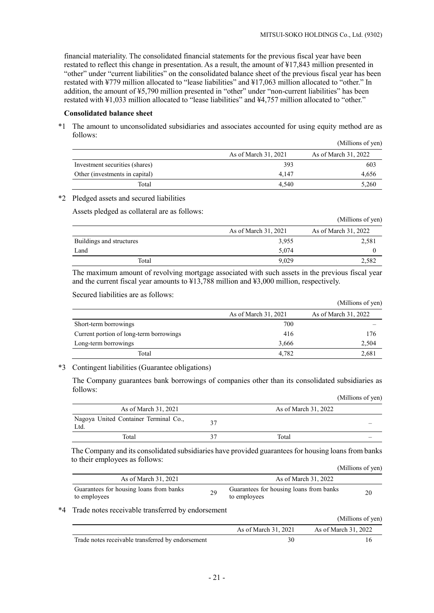financial materiality. The consolidated financial statements for the previous fiscal year have been restated to reflect this change in presentation. As a result, the amount of ¥17,843 million presented in "other" under "current liabilities" on the consolidated balance sheet of the previous fiscal year has been restated with ¥779 million allocated to "lease liabilities" and ¥17,063 million allocated to "other." In addition, the amount of ¥5,790 million presented in "other" under "non-current liabilities" has been restated with ¥1,033 million allocated to "lease liabilities" and ¥4,757 million allocated to "other."

### **Consolidated balance sheet**

\*1 The amount to unconsolidated subsidiaries and associates accounted for using equity method are as follows:

|                                |                      | (Millions of yen)    |
|--------------------------------|----------------------|----------------------|
|                                | As of March 31, 2021 | As of March 31, 2022 |
| Investment securities (shares) | 393                  | 603                  |
| Other (investments in capital) | 4.147                | 4,656                |
| Total                          | 4.540                | 5,260                |

#### \*2 Pledged assets and secured liabilities

Assets pledged as collateral are as follows:

| ັ                        |                      | (Millions of yen)    |
|--------------------------|----------------------|----------------------|
|                          | As of March 31, 2021 | As of March 31, 2022 |
| Buildings and structures | 3,955                | 2,581                |
| Land                     | 5,074                |                      |
| Total                    | 9.029                | 2,582                |

The maximum amount of revolving mortgage associated with such assets in the previous fiscal year and the current fiscal year amounts to ¥13,788 million and ¥3,000 million, respectively.

Secured liabilities are as follows:

|                                         |                      | (Millions of yen)    |
|-----------------------------------------|----------------------|----------------------|
|                                         | As of March 31, 2021 | As of March 31, 2022 |
| Short-term borrowings                   | 700                  |                      |
| Current portion of long-term borrowings | 416                  | 176                  |
| Long-term borrowings                    | 3,666                | 2,504                |
| Total                                   | 4.782                | 2,681                |

### \*3 Contingent liabilities (Guarantee obligations)

The Company guarantees bank borrowings of companies other than its consolidated subsidiaries as follows: (Millions of yen)

|                                               | (TVITHIOUS OF YELL)  |
|-----------------------------------------------|----------------------|
| As of March 31, 2021                          | As of March 31, 2022 |
| Nagoya United Container Terminal Co.,<br>Ltd. |                      |
| Total                                         | Total                |

The Company and its consolidated subsidiaries have provided guarantees for housing loans from banks to their employees as follows: (Millions of yen)

|                                                         |    |                                                         | (1.1111101100011) |
|---------------------------------------------------------|----|---------------------------------------------------------|-------------------|
| As of March 31, 2021                                    |    | As of March 31, 2022                                    |                   |
| Guarantees for housing loans from banks<br>to employees | 29 | Guarantees for housing loans from banks<br>to employees | 20                |

#### \*4 Trade notes receivable transferred by endorsement

|                                                   |                      | (Millions of yen)    |
|---------------------------------------------------|----------------------|----------------------|
|                                                   | As of March 31, 2021 | As of March 31, 2022 |
| Trade notes receivable transferred by endorsement | 30                   |                      |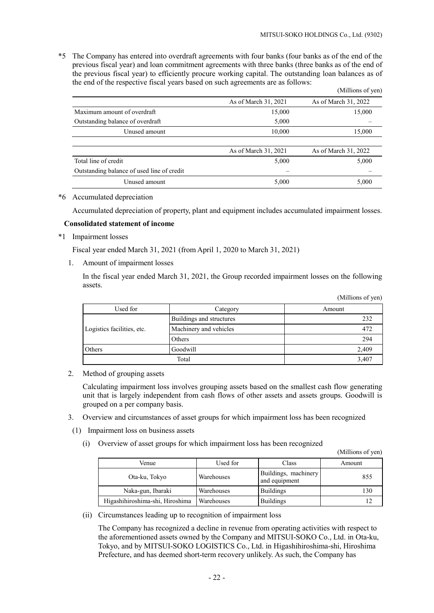(Millions of yen)

 $(M)$ llions of yen)

\*5 The Company has entered into overdraft agreements with four banks (four banks as of the end of the previous fiscal year) and loan commitment agreements with three banks (three banks as of the end of the previous fiscal year) to efficiently procure working capital. The outstanding loan balances as of the end of the respective fiscal years based on such agreements are as follows:

|                                            |                      | (Millions of yen)    |
|--------------------------------------------|----------------------|----------------------|
|                                            | As of March 31, 2021 | As of March 31, 2022 |
| Maximum amount of overdraft                | 15,000               | 15,000               |
| Outstanding balance of overdraft           | 5,000                |                      |
| Unused amount                              | 10,000               | 15,000               |
|                                            | As of March 31, 2021 | As of March 31, 2022 |
| Total line of credit                       | 5,000                | 5,000                |
| Outstanding balance of used line of credit |                      |                      |
| Unused amount                              | 5,000                | 5,000                |

#### \*6 Accumulated depreciation

Accumulated depreciation of property, plant and equipment includes accumulated impairment losses.

#### **Consolidated statement of income**

\*1 Impairment losses

Fiscal year ended March 31, 2021 (from April 1, 2020 to March 31, 2021)

1. Amount of impairment losses

In the fiscal year ended March 31, 2021, the Group recorded impairment losses on the following assets.

| Used for                   | Category                 | Amount |  |
|----------------------------|--------------------------|--------|--|
|                            | Buildings and structures | 232    |  |
| Logistics facilities, etc. | Machinery and vehicles   | 472    |  |
|                            | Others                   | 294    |  |
| Goodwill<br>Others         |                          | 2,409  |  |
| Total                      |                          | 3,407  |  |

2. Method of grouping assets

Calculating impairment loss involves grouping assets based on the smallest cash flow generating unit that is largely independent from cash flows of other assets and assets groups. Goodwill is grouped on a per company basis.

- 3. Overview and circumstances of asset groups for which impairment loss has been recognized
- (1) Impairment loss on business assets
	- (i) Overview of asset groups for which impairment loss has been recognized

|                                 |            |                                       | $\mu$ $\mu$ $\mu$ $\mu$ $\mu$ $\mu$ $\mu$ $\mu$ |
|---------------------------------|------------|---------------------------------------|-------------------------------------------------|
| Venue                           | Used for   | Class                                 | Amount                                          |
| Ota-ku, Tokyo                   | Warehouses | Buildings, machinery<br>and equipment | 855                                             |
| Naka-gun, Ibaraki               | Warehouses | <b>Buildings</b>                      | 130                                             |
| Higashihiroshima-shi, Hiroshima | Warehouses | <b>Buildings</b>                      |                                                 |

(ii) Circumstances leading up to recognition of impairment loss

The Company has recognized a decline in revenue from operating activities with respect to the aforementioned assets owned by the Company and MITSUI-SOKO Co., Ltd. in Ota-ku, Tokyo, and by MITSUI-SOKO LOGISTICS Co., Ltd. in Higashihiroshima-shi, Hiroshima Prefecture, and has deemed short-term recovery unlikely. As such, the Company has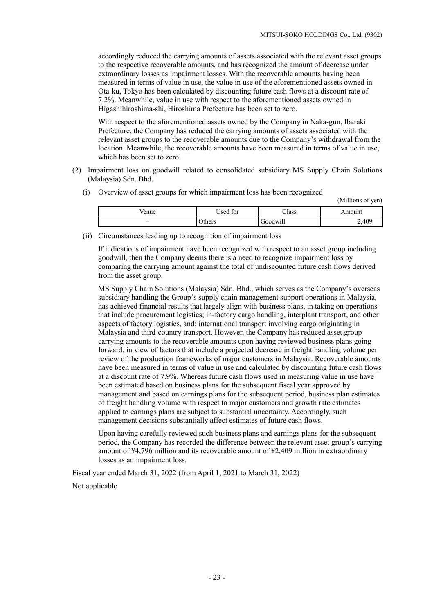(Millions of yen)

accordingly reduced the carrying amounts of assets associated with the relevant asset groups to the respective recoverable amounts, and has recognized the amount of decrease under extraordinary losses as impairment losses. With the recoverable amounts having been measured in terms of value in use, the value in use of the aforementioned assets owned in Ota-ku, Tokyo has been calculated by discounting future cash flows at a discount rate of 7.2%. Meanwhile, value in use with respect to the aforementioned assets owned in Higashihiroshima-shi, Hiroshima Prefecture has been set to zero.

With respect to the aforementioned assets owned by the Company in Naka-gun, Ibaraki Prefecture, the Company has reduced the carrying amounts of assets associated with the relevant asset groups to the recoverable amounts due to the Company's withdrawal from the location. Meanwhile, the recoverable amounts have been measured in terms of value in use, which has been set to zero.

- (2) Impairment loss on goodwill related to consolidated subsidiary MS Supply Chain Solutions (Malaysia) Sdn. Bhd.
	- (i) Overview of asset groups for which impairment loss has been recognized

| /enue | Jsed for      | – lass       | Amount |
|-------|---------------|--------------|--------|
| —     | <b>Others</b> | <br>Goodwill | 2,409  |

(ii) Circumstances leading up to recognition of impairment loss

If indications of impairment have been recognized with respect to an asset group including goodwill, then the Company deems there is a need to recognize impairment loss by comparing the carrying amount against the total of undiscounted future cash flows derived from the asset group.

MS Supply Chain Solutions (Malaysia) Sdn. Bhd., which serves as the Company's overseas subsidiary handling the Group's supply chain management support operations in Malaysia, has achieved financial results that largely align with business plans, in taking on operations that include procurement logistics; in-factory cargo handling, interplant transport, and other aspects of factory logistics, and; international transport involving cargo originating in Malaysia and third-country transport. However, the Company has reduced asset group carrying amounts to the recoverable amounts upon having reviewed business plans going forward, in view of factors that include a projected decrease in freight handling volume per review of the production frameworks of major customers in Malaysia. Recoverable amounts have been measured in terms of value in use and calculated by discounting future cash flows at a discount rate of 7.9%. Whereas future cash flows used in measuring value in use have been estimated based on business plans for the subsequent fiscal year approved by management and based on earnings plans for the subsequent period, business plan estimates of freight handling volume with respect to major customers and growth rate estimates applied to earnings plans are subject to substantial uncertainty. Accordingly, such management decisions substantially affect estimates of future cash flows.

Upon having carefully reviewed such business plans and earnings plans for the subsequent period, the Company has recorded the difference between the relevant asset group's carrying amount of ¥4,796 million and its recoverable amount of ¥2,409 million in extraordinary losses as an impairment loss.

Fiscal year ended March 31, 2022 (from April 1, 2021 to March 31, 2022)

Not applicable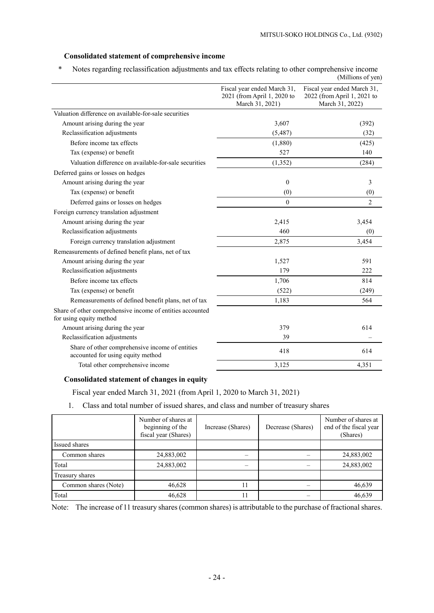### **Consolidated statement of comprehensive income**

\* Notes regarding reclassification adjustments and tax effects relating to other comprehensive income (Millions of yen)

|                                                                                      |                                                                               | $\frac{1}{1}$                                                                 |
|--------------------------------------------------------------------------------------|-------------------------------------------------------------------------------|-------------------------------------------------------------------------------|
|                                                                                      | Fiscal year ended March 31,<br>2021 (from April 1, 2020 to<br>March 31, 2021) | Fiscal year ended March 31,<br>2022 (from April 1, 2021 to<br>March 31, 2022) |
| Valuation difference on available-for-sale securities                                |                                                                               |                                                                               |
| Amount arising during the year                                                       | 3,607                                                                         | (392)                                                                         |
| Reclassification adjustments                                                         | (5, 487)                                                                      | (32)                                                                          |
| Before income tax effects                                                            | (1,880)                                                                       | (425)                                                                         |
| Tax (expense) or benefit                                                             | 527                                                                           | 140                                                                           |
| Valuation difference on available-for-sale securities                                | (1, 352)                                                                      | (284)                                                                         |
| Deferred gains or losses on hedges                                                   |                                                                               |                                                                               |
| Amount arising during the year                                                       | $\theta$                                                                      | 3                                                                             |
| Tax (expense) or benefit                                                             | (0)                                                                           | (0)                                                                           |
| Deferred gains or losses on hedges                                                   | $\theta$                                                                      | $\overline{c}$                                                                |
| Foreign currency translation adjustment                                              |                                                                               |                                                                               |
| Amount arising during the year                                                       | 2,415                                                                         | 3,454                                                                         |
| Reclassification adjustments                                                         | 460                                                                           | (0)                                                                           |
| Foreign currency translation adjustment                                              | 2,875                                                                         | 3,454                                                                         |
| Remeasurements of defined benefit plans, net of tax                                  |                                                                               |                                                                               |
| Amount arising during the year                                                       | 1,527                                                                         | 591                                                                           |
| Reclassification adjustments                                                         | 179                                                                           | 222                                                                           |
| Before income tax effects                                                            | 1,706                                                                         | 814                                                                           |
| Tax (expense) or benefit                                                             | (522)                                                                         | (249)                                                                         |
| Remeasurements of defined benefit plans, net of tax                                  | 1,183                                                                         | 564                                                                           |
| Share of other comprehensive income of entities accounted<br>for using equity method |                                                                               |                                                                               |
| Amount arising during the year                                                       | 379                                                                           | 614                                                                           |
| Reclassification adjustments                                                         | 39                                                                            |                                                                               |
| Share of other comprehensive income of entities<br>accounted for using equity method | 418                                                                           | 614                                                                           |
| Total other comprehensive income                                                     | 3,125                                                                         | 4,351                                                                         |
|                                                                                      |                                                                               |                                                                               |

### **Consolidated statement of changes in equity**

Fiscal year ended March 31, 2021 (from April 1, 2020 to March 31, 2021)

1. Class and total number of issued shares, and class and number of treasury shares

|                      | Number of shares at<br>beginning of the<br>fiscal year (Shares) | Increase (Shares) | Decrease (Shares) | Number of shares at<br>end of the fiscal year<br>(Shares) |
|----------------------|-----------------------------------------------------------------|-------------------|-------------------|-----------------------------------------------------------|
| Issued shares        |                                                                 |                   |                   |                                                           |
| Common shares        | 24,883,002                                                      |                   |                   | 24,883,002                                                |
| Total                | 24,883,002                                                      |                   |                   | 24,883,002                                                |
| Treasury shares      |                                                                 |                   |                   |                                                           |
| Common shares (Note) | 46,628                                                          | 11                |                   | 46,639                                                    |
| Total                | 46,628                                                          |                   |                   | 46,639                                                    |

Note: The increase of 11 treasury shares (common shares) is attributable to the purchase of fractional shares.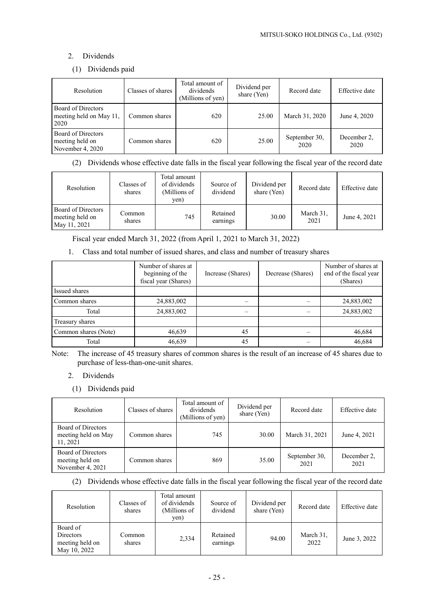# 2. Dividends

### (1) Dividends paid

| Resolution                                                | Classes of shares | Total amount of<br>dividends<br>(Millions of yen) | Dividend per<br>share (Yen) | Record date           | Effective date      |
|-----------------------------------------------------------|-------------------|---------------------------------------------------|-----------------------------|-----------------------|---------------------|
| Board of Directors<br>meeting held on May 11,<br>2020     | Common shares     | 620                                               | 25.00                       | March 31, 2020        | June 4, 2020        |
| Board of Directors<br>meeting held on<br>November 4, 2020 | Common shares     | 620                                               | 25.00                       | September 30,<br>2020 | December 2,<br>2020 |

(2) Dividends whose effective date falls in the fiscal year following the fiscal year of the record date

| Resolution                                            | Classes of<br>shares | Total amount<br>of dividends<br>(Millions of<br>yen) | Source of<br>dividend | Dividend per<br>share (Yen) | Record date       | Effective date |
|-------------------------------------------------------|----------------------|------------------------------------------------------|-----------------------|-----------------------------|-------------------|----------------|
| Board of Directors<br>meeting held on<br>May 11, 2021 | Common<br>shares     | 745                                                  | Retained<br>earnings  | 30.00                       | March 31,<br>2021 | June 4, 2021   |

Fiscal year ended March 31, 2022 (from April 1, 2021 to March 31, 2022)

1. Class and total number of issued shares, and class and number of treasury shares

|                      | Number of shares at<br>beginning of the<br>fiscal year (Shares) | Increase (Shares) | Decrease (Shares) | Number of shares at<br>end of the fiscal year<br>(Shares) |
|----------------------|-----------------------------------------------------------------|-------------------|-------------------|-----------------------------------------------------------|
| Issued shares        |                                                                 |                   |                   |                                                           |
| Common shares        | 24,883,002                                                      |                   |                   | 24,883,002                                                |
| Total                | 24,883,002                                                      |                   |                   | 24,883,002                                                |
| Treasury shares      |                                                                 |                   |                   |                                                           |
| Common shares (Note) | 46,639                                                          | 45                |                   | 46,684                                                    |
| Total                | 46,639                                                          | 45                |                   | 46,684                                                    |

Note: The increase of 45 treasury shares of common shares is the result of an increase of 45 shares due to purchase of less-than-one-unit shares.

### 2. Dividends

(1) Dividends paid

| <b>Resolution</b>                                         | Classes of shares | Total amount of<br>dividends<br>(Millions of yen) | Dividend per<br>share (Yen) | Record date           | Effective date      |
|-----------------------------------------------------------|-------------------|---------------------------------------------------|-----------------------------|-----------------------|---------------------|
| Board of Directors<br>meeting held on May<br>11, 2021     | Common shares     | 745                                               | 30.00                       | March 31, 2021        | June 4, 2021        |
| Board of Directors<br>meeting held on<br>November 4, 2021 | Common shares     | 869                                               | 35.00                       | September 30,<br>2021 | December 2,<br>2021 |

(2) Dividends whose effective date falls in the fiscal year following the fiscal year of the record date

| Resolution                                               | Classes of<br>shares | Total amount<br>of dividends<br>(Millions of<br>yen) | Source of<br>dividend | Dividend per<br>share (Yen) | Record date       | Effective date |
|----------------------------------------------------------|----------------------|------------------------------------------------------|-----------------------|-----------------------------|-------------------|----------------|
| Board of<br>Directors<br>meeting held on<br>May 10, 2022 | Common<br>shares     | 2,334                                                | Retained<br>earnings  | 94.00                       | March 31,<br>2022 | June 3, 2022   |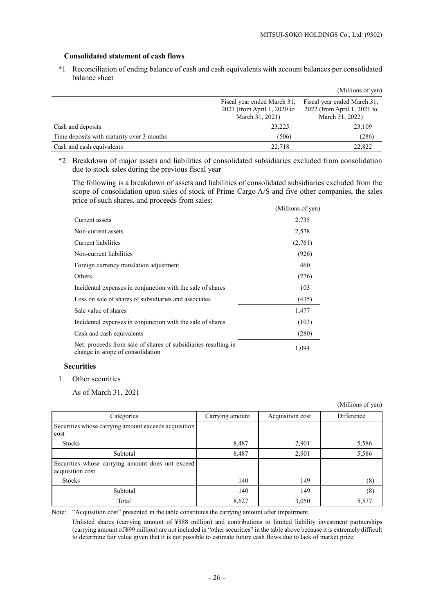### **Consolidated statement of cash flows**

\*1 Reconciliation of ending balance of cash and cash equivalents with account balances per consolidated balance sheet

|                                           |                                                                               | (Millions of yen)                                                             |
|-------------------------------------------|-------------------------------------------------------------------------------|-------------------------------------------------------------------------------|
|                                           | Fiscal year ended March 31,<br>2021 (from April 1, 2020 to<br>March 31, 2021) | Fiscal year ended March 31,<br>2022 (from April 1, 2021 to<br>March 31, 2022) |
| Cash and deposits                         | 23,225                                                                        | 23,109                                                                        |
| Time deposits with maturity over 3 months | (506)                                                                         | (286)                                                                         |
| Cash and cash equivalents                 | 22.718                                                                        | 22,822                                                                        |

\*2 Breakdown of major assets and liabilities of consolidated subsidiaries excluded from consolidation due to stock sales during the previous fiscal year

The following is a breakdown of assets and liabilities of consolidated subsidiaries excluded from the scope of consolidation upon sales of stock of Prime Cargo A/S and five other companies, the sales price of such shares, and proceeds from sales:

|                                                                                                    | (Millions of yen) |
|----------------------------------------------------------------------------------------------------|-------------------|
| Current assets                                                                                     | 2,735             |
| Non-current assets                                                                                 | 2,578             |
| Current liabilities                                                                                | (2,761)           |
| Non-current liabilities                                                                            | (926)             |
| Foreign currency translation adjustment                                                            | 460               |
| Others                                                                                             | (276)             |
| Incidental expenses in conjunction with the sale of shares                                         | 103               |
| Loss on sale of shares of subsidiaries and associates                                              | (435)             |
| Sale value of shares                                                                               | 1,477             |
| Incidental expenses in conjunction with the sale of shares                                         | (103)             |
| Cash and cash equivalents                                                                          | (280)             |
| Net: proceeds from sale of shares of subsidiaries resulting in<br>change in scope of consolidation | 1,094             |

#### **Securities**

1. Other securities

As of March 31, 2021

|                                                                      |                 |                  | (Millions of yen) |
|----------------------------------------------------------------------|-----------------|------------------|-------------------|
| Categories                                                           | Carrying amount | Acquisition cost | Difference        |
| Securities whose carrying amount exceeds acquisition<br>cost         |                 |                  |                   |
| <b>Stocks</b>                                                        | 8,487           | 2,901            | 5,586             |
| Subtotal                                                             | 8,487           | 2,901            | 5,586             |
| Securities whose carrying amount does not exceed<br>acquisition cost |                 |                  |                   |
| <b>Stocks</b>                                                        | 140             | 149              | (8)               |
| Subtotal                                                             | 140             | 149              | (8)               |
| Total                                                                | 8,627           | 3,050            | 5,577             |

Note: "Acquisition cost" presented in the table constitutes the carrying amount after impairment.

Unlisted shares (carrying amount of ¥888 million) and contributions to limited liability investment partnerships (carrying amount of ¥99 million) are not included in "other securities" in the table above because it is extremely difficult to determine fair value given that it is not possible to estimate future cash flows due to lack of market price.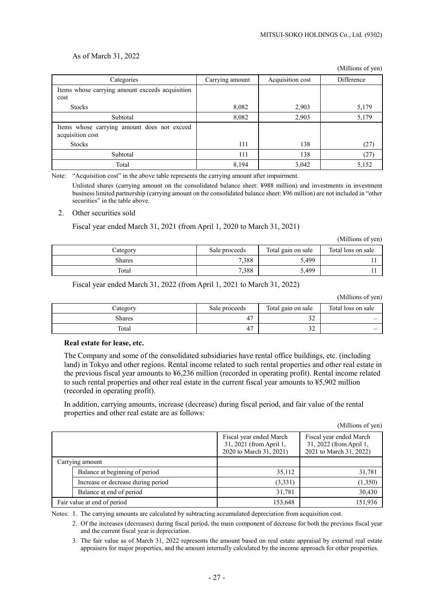#### As of March 31, 2022

|                                                                 |                 |                  | (Millions of yen) |
|-----------------------------------------------------------------|-----------------|------------------|-------------------|
| Categories                                                      | Carrying amount | Acquisition cost | Difference        |
| Items whose carrying amount exceeds acquisition<br>cost         |                 |                  |                   |
| <b>Stocks</b>                                                   | 8,082           | 2,903            | 5,179             |
| Subtotal                                                        | 8,082           | 2,903            | 5,179             |
| Items whose carrying amount does not exceed<br>acquisition cost |                 |                  |                   |
| <b>Stocks</b>                                                   | 111             | 138              | (27)              |
| Subtotal                                                        | 111             | 138              | (27)              |
| Total                                                           | 8,194           | 3,042            | 5,152             |

Note: "Acquisition cost" in the above table represents the carrying amount after impairment.

Unlisted shares (carrying amount on the consolidated balance sheet: ¥988 million) and investments in investment business limited partnership (carrying amount on the consolidated balance sheet: ¥96 million) are not included in "other securities" in the table above.

#### 2. Other securities sold

Fiscal year ended March 31, 2021 (from April 1, 2020 to March 31, 2021)

(Millions of yen)

| Category | Sale proceeds | Total gain on sale | Total loss on sale |
|----------|---------------|--------------------|--------------------|
| Shares   | 7,388         | 5,499              |                    |
| Total    | 7,388         | 5,499              |                    |

#### Fiscal year ended March 31, 2022 (from April 1, 2021 to March 31, 2022)

| (Millions of yen) |  |
|-------------------|--|
|                   |  |

| Category      | Sale proceeds | Total gain on sale | Total loss on sale |
|---------------|---------------|--------------------|--------------------|
| <b>Shares</b> | 47            | $\sim$<br>ے ر      |                    |
| Total         | 47            | $\sim$<br>ے ر      |                    |

#### **Real estate for lease, etc.**

The Company and some of the consolidated subsidiaries have rental office buildings, etc. (including land) in Tokyo and other regions. Rental income related to such rental properties and other real estate in the previous fiscal year amounts to ¥6,236 million (recorded in operating profit). Rental income related to such rental properties and other real estate in the current fiscal year amounts to ¥5,902 million (recorded in operating profit).

In addition, carrying amounts, increase (decrease) during fiscal period, and fair value of the rental properties and other real estate are as follows:

(Millions of yen)

|                                    | Fiscal year ended March<br>31, 2021 (from April 1,<br>2020 to March 31, 2021) | Fiscal year ended March<br>31, 2022 (from April 1,<br>2021 to March 31, 2022) |
|------------------------------------|-------------------------------------------------------------------------------|-------------------------------------------------------------------------------|
| Carrying amount                    |                                                                               |                                                                               |
| Balance at beginning of period     | 35,112                                                                        | 31,781                                                                        |
| Increase or decrease during period | (3,331)                                                                       | (1,350)                                                                       |
| Balance at end of period           | 31,781                                                                        | 30,430                                                                        |
| Fair value at end of period        | 153,648                                                                       | 151,936                                                                       |

Notes: 1. The carrying amounts are calculated by subtracting accumulated depreciation from acquisition cost.

2. Of the increases (decreases) during fiscal period, the main component of decrease for both the previous fiscal year and the current fiscal year is depreciation.

3. The fair value as of March 31, 2022 represents the amount based on real estate appraisal by external real estate appraisers for major properties, and the amount internally calculated by the income approach for other properties.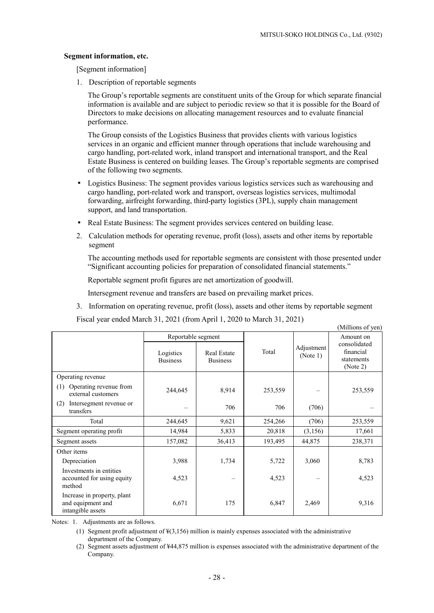$(A)$  (11)  $\cdots$  of  $\cdots$ )

#### **Segment information, etc.**

[Segment information]

1. Description of reportable segments

The Group's reportable segments are constituent units of the Group for which separate financial information is available and are subject to periodic review so that it is possible for the Board of Directors to make decisions on allocating management resources and to evaluate financial performance.

The Group consists of the Logistics Business that provides clients with various logistics services in an organic and efficient manner through operations that include warehousing and cargo handling, port-related work, inland transport and international transport, and the Real Estate Business is centered on building leases. The Group's reportable segments are comprised of the following two segments.

- Logistics Business: The segment provides various logistics services such as warehousing and cargo handling, port-related work and transport, overseas logistics services, multimodal forwarding, airfreight forwarding, third-party logistics (3PL), supply chain management support, and land transportation.
- Real Estate Business: The segment provides services centered on building lease.
- 2. Calculation methods for operating revenue, profit (loss), assets and other items by reportable segment

The accounting methods used for reportable segments are consistent with those presented under "Significant accounting policies for preparation of consolidated financial statements."

Reportable segment profit figures are net amortization of goodwill.

Intersegment revenue and transfers are based on prevailing market prices.

3. Information on operating revenue, profit (loss), assets and other items by reportable segment

Fiscal year ended March 31, 2021 (from April 1, 2020 to March 31, 2021)

|                                                                       | Reportable segment           |                                       |         |                        | TMITHOUS OF ACH<br>Amount on                        |
|-----------------------------------------------------------------------|------------------------------|---------------------------------------|---------|------------------------|-----------------------------------------------------|
|                                                                       | Logistics<br><b>Business</b> | <b>Real Estate</b><br><b>Business</b> | Total   | Adjustment<br>(Note 1) | consolidated<br>financial<br>statements<br>(Note 2) |
| Operating revenue                                                     |                              |                                       |         |                        |                                                     |
| Operating revenue from<br>(1)<br>external customers                   | 244,645                      | 8,914                                 | 253,559 |                        | 253,559                                             |
| Intersegment revenue or<br>(2)<br>transfers                           |                              | 706                                   | 706     | (706)                  |                                                     |
| Total                                                                 | 244,645                      | 9,621                                 | 254,266 | (706)                  | 253,559                                             |
| Segment operating profit                                              | 14,984                       | 5,833                                 | 20,818  | (3,156)                | 17,661                                              |
| Segment assets                                                        | 157,082                      | 36,413                                | 193,495 | 44,875                 | 238,371                                             |
| Other items                                                           |                              |                                       |         |                        |                                                     |
| Depreciation                                                          | 3,988                        | 1,734                                 | 5,722   | 3,060                  | 8,783                                               |
| Investments in entities<br>accounted for using equity<br>method       | 4,523                        |                                       | 4,523   |                        | 4,523                                               |
| Increase in property, plant<br>and equipment and<br>intangible assets | 6,671                        | 175                                   | 6,847   | 2,469                  | 9,316                                               |

Notes: 1. Adjustments are as follows.

- (1) Segment profit adjustment of  $\frac{1}{2}(3,156)$  million is mainly expenses associated with the administrative department of the Company.
- (2) Segment assets adjustment of ¥44,875 million is expenses associated with the administrative department of the Company.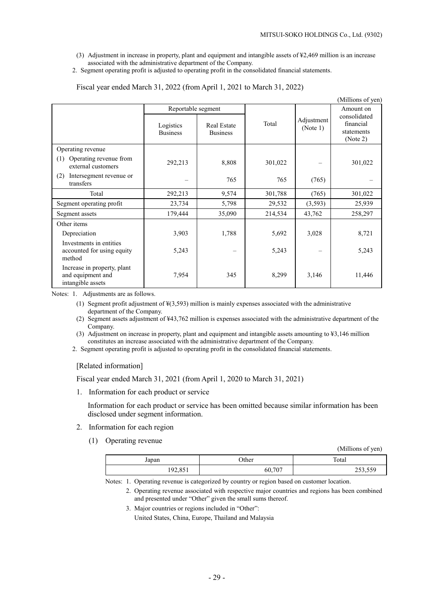- (3) Adjustment in increase in property, plant and equipment and intangible assets of ¥2,469 million is an increase associated with the administrative department of the Company.
- 2. Segment operating profit is adjusted to operating profit in the consolidated financial statements.

|                                                                       |                              |                                       |         |                        | (Millions of yen)                                   |
|-----------------------------------------------------------------------|------------------------------|---------------------------------------|---------|------------------------|-----------------------------------------------------|
|                                                                       | Reportable segment           |                                       |         |                        | Amount on                                           |
|                                                                       | Logistics<br><b>Business</b> | <b>Real Estate</b><br><b>Business</b> | Total   | Adjustment<br>(Note 1) | consolidated<br>financial<br>statements<br>(Note 2) |
| Operating revenue                                                     |                              |                                       |         |                        |                                                     |
| Operating revenue from<br>(1)<br>external customers                   | 292,213                      | 8,808                                 | 301,022 |                        | 301,022                                             |
| Intersegment revenue or<br>(2)<br>transfers                           |                              | 765                                   | 765     | (765)                  |                                                     |
| Total                                                                 | 292,213                      | 9,574                                 | 301,788 | (765)                  | 301,022                                             |
| Segment operating profit                                              | 23,734                       | 5,798                                 | 29,532  | (3,593)                | 25,939                                              |
| Segment assets                                                        | 179,444                      | 35,090                                | 214,534 | 43,762                 | 258,297                                             |
| Other items                                                           |                              |                                       |         |                        |                                                     |
| Depreciation                                                          | 3,903                        | 1,788                                 | 5,692   | 3,028                  | 8,721                                               |
| Investments in entities<br>accounted for using equity<br>method       | 5,243                        |                                       | 5,243   |                        | 5,243                                               |
| Increase in property, plant<br>and equipment and<br>intangible assets | 7,954                        | 345                                   | 8,299   | 3,146                  | 11,446                                              |

Fiscal year ended March 31, 2022 (from April 1, 2021 to March 31, 2022)

Notes: 1. Adjustments are as follows.

- (1) Segment profit adjustment of ¥(3,593) million is mainly expenses associated with the administrative department of the Company.
- (2) Segment assets adjustment of ¥43,762 million is expenses associated with the administrative department of the Company.

(3) Adjustment on increase in property, plant and equipment and intangible assets amounting to ¥3,146 million constitutes an increase associated with the administrative department of the Company.

2. Segment operating profit is adjusted to operating profit in the consolidated financial statements.

#### [Related information]

Fiscal year ended March 31, 2021 (from April 1, 2020 to March 31, 2021)

1. Information for each product or service

Information for each product or service has been omitted because similar information has been disclosed under segment information.

- 2. Information for each region
	- (1) Operating revenue

(Millions of yen)

| Japan   | <b>Other</b> | Total                                             |
|---------|--------------|---------------------------------------------------|
| 192,851 | 60,707       | $\sim$ $\sim$ $\sim$ $\sim$ $\sim$<br>ر ت ت د ت ت |

Notes: 1. Operating revenue is categorized by country or region based on customer location.

- 2. Operating revenue associated with respective major countries and regions has been combined and presented under "Other" given the small sums thereof.
- 3. Major countries or regions included in "Other":

United States, China, Europe, Thailand and Malaysia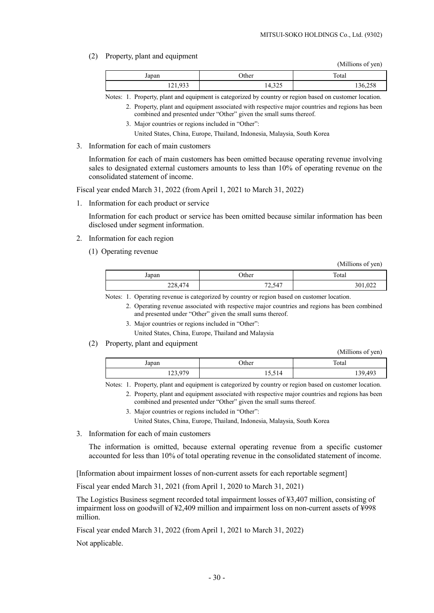(2) Property, plant and equipment

(Millions of yen)

 $(Af(1))$  is  $(Af(2))$ 

| Japan   | Other  | Total   |
|---------|--------|---------|
| 121,933 | 14,325 | 136,258 |

Notes: 1. Property, plant and equipment is categorized by country or region based on customer location. 2. Property, plant and equipment associated with respective major countries and regions has been

- combined and presented under "Other" given the small sums thereof.
- 3. Major countries or regions included in "Other":

United States, China, Europe, Thailand, Indonesia, Malaysia, South Korea

3. Information for each of main customers

Information for each of main customers has been omitted because operating revenue involving sales to designated external customers amounts to less than 10% of operating revenue on the consolidated statement of income.

Fiscal year ended March 31, 2022 (from April 1, 2021 to March 31, 2022)

1. Information for each product or service

Information for each product or service has been omitted because similar information has been disclosed under segment information.

- 2. Information for each region
	- (1) Operating revenue

|         |        | (TVITHIOHS OF YELL) |
|---------|--------|---------------------|
| Japan   | Other  | Total               |
| 228,474 | 72,547 | 301,022             |

Notes: 1. Operating revenue is categorized by country or region based on customer location.

- 2. Operating revenue associated with respective major countries and regions has been combined and presented under "Other" given the small sums thereof.
- 3. Major countries or regions included in "Other":

United States, China, Europe, Thailand and Malaysia

(2) Property, plant and equipment

|         |        | (Millions of yen) |
|---------|--------|-------------------|
| Japan   | Other  | Total             |
| 123,979 | 15,514 | 139,493           |

Notes: 1. Property, plant and equipment is categorized by country or region based on customer location.

- 2. Property, plant and equipment associated with respective major countries and regions has been combined and presented under "Other" given the small sums thereof.
	- 3. Major countries or regions included in "Other":

United States, China, Europe, Thailand, Indonesia, Malaysia, South Korea

3. Information for each of main customers

The information is omitted, because external operating revenue from a specific customer accounted for less than 10% of total operating revenue in the consolidated statement of income.

[Information about impairment losses of non-current assets for each reportable segment]

Fiscal year ended March 31, 2021 (from April 1, 2020 to March 31, 2021)

The Logistics Business segment recorded total impairment losses of ¥3,407 million, consisting of impairment loss on goodwill of ¥2,409 million and impairment loss on non-current assets of ¥998 million.

Fiscal year ended March 31, 2022 (from April 1, 2021 to March 31, 2022)

Not applicable.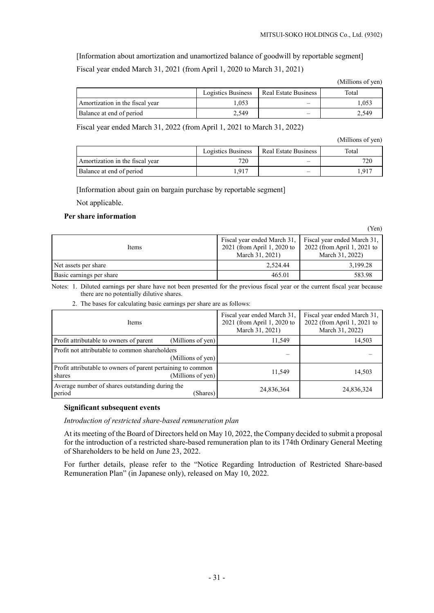[Information about amortization and unamortized balance of goodwill by reportable segment] Fiscal year ended March 31, 2021 (from April 1, 2020 to March 31, 2021)

|                                 | Logistics Business | Real Estate Business | Total |
|---------------------------------|--------------------|----------------------|-------|
| Amortization in the fiscal year | .053               |                      | .053  |
| Balance at end of period        | 2.549              | –                    | 2.549 |

Fiscal year ended March 31, 2022 (from April 1, 2021 to March 31, 2022)

(Millions of yen)

|                                 | Logistics Business | Real Estate Business | Total |
|---------------------------------|--------------------|----------------------|-------|
| Amortization in the fiscal year | 720                |                      |       |
| Balance at end of period        | 0.917              |                      | .917  |

[Information about gain on bargain purchase by reportable segment]

Not applicable.

#### **Per share information**

(Yen)

| <b>Items</b>             | Fiscal year ended March 31, Fiscal year ended March 31,<br>2021 (from April 1, 2020 to<br>March 31, 2021) | 2022 (from April 1, 2021 to<br>March 31, 2022) |
|--------------------------|-----------------------------------------------------------------------------------------------------------|------------------------------------------------|
| Net assets per share     | 2.524.44                                                                                                  | 3,199.28                                       |
| Basic earnings per share | 465.01                                                                                                    | 583.98                                         |

Notes: 1. Diluted earnings per share have not been presented for the previous fiscal year or the current fiscal year because there are no potentially dilutive shares.

2. The bases for calculating basic earnings per share are as follows:

| <b>Items</b>                                                           |                   | Fiscal year ended March 31,<br>2021 (from April 1, 2020 to<br>March 31, 2021) | Fiscal year ended March 31,<br>2022 (from April 1, 2021 to<br>March 31, 2022) |
|------------------------------------------------------------------------|-------------------|-------------------------------------------------------------------------------|-------------------------------------------------------------------------------|
| Profit attributable to owners of parent                                | (Millions of yen) | 11,549                                                                        | 14,503                                                                        |
| Profit not attributable to common shareholders                         | (Millions of yen) |                                                                               |                                                                               |
| Profit attributable to owners of parent pertaining to common<br>shares | (Millions of yen) | 11.549                                                                        | 14,503                                                                        |
| Average number of shares outstanding during the<br>period              | (Shares)          | 24,836,364                                                                    | 24,836,324                                                                    |

### **Significant subsequent events**

#### *Introduction of restricted share-based remuneration plan*

At its meeting of the Board of Directors held on May 10, 2022, the Company decided to submit a proposal for the introduction of a restricted share-based remuneration plan to its 174th Ordinary General Meeting of Shareholders to be held on June 23, 2022.

For further details, please refer to the "Notice Regarding Introduction of Restricted Share-based Remuneration Plan" (in Japanese only), released on May 10, 2022.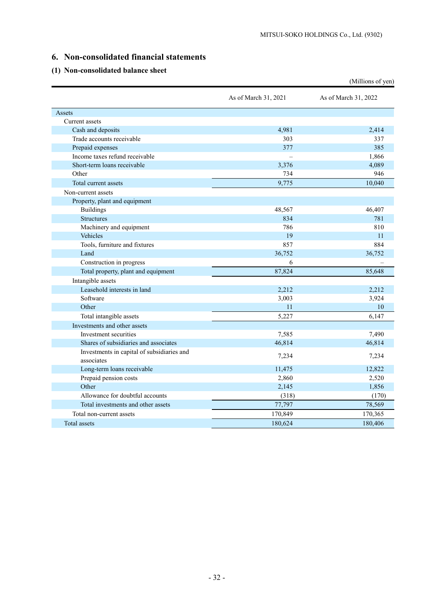# **6. Non-consolidated financial statements**

# **(1) Non-consolidated balance sheet**

|                                                          |                      | (Millions of yen)    |
|----------------------------------------------------------|----------------------|----------------------|
|                                                          | As of March 31, 2021 | As of March 31, 2022 |
| Assets                                                   |                      |                      |
| Current assets                                           |                      |                      |
| Cash and deposits                                        | 4,981                | 2,414                |
| Trade accounts receivable                                | 303                  | 337                  |
| Prepaid expenses                                         | 377                  | 385                  |
| Income taxes refund receivable                           |                      | 1,866                |
| Short-term loans receivable                              | 3,376                | 4,089                |
| Other                                                    | 734                  | 946                  |
| Total current assets                                     | 9,775                | 10,040               |
| Non-current assets                                       |                      |                      |
| Property, plant and equipment                            |                      |                      |
| <b>Buildings</b>                                         | 48,567               | 46,407               |
| <b>Structures</b>                                        | 834                  | 781                  |
| Machinery and equipment                                  | 786                  | 810                  |
| Vehicles                                                 | 19                   | 11                   |
| Tools, furniture and fixtures                            | 857                  | 884                  |
| Land                                                     | 36,752               | 36,752               |
| Construction in progress                                 | 6                    |                      |
| Total property, plant and equipment                      | 87,824               | 85,648               |
| Intangible assets                                        |                      |                      |
| Leasehold interests in land                              | 2.212                | 2.212                |
| Software                                                 | 3,003                | 3,924                |
| Other                                                    | 11                   | 10                   |
| Total intangible assets                                  | 5,227                | 6,147                |
| Investments and other assets                             |                      |                      |
| Investment securities                                    | 7,585                | 7,490                |
| Shares of subsidiaries and associates                    | 46,814               | 46,814               |
| Investments in capital of subsidiaries and<br>associates | 7,234                | 7,234                |
| Long-term loans receivable                               | 11,475               | 12,822               |
| Prepaid pension costs                                    | 2,860                | 2,520                |
| Other                                                    | 2,145                | 1,856                |
| Allowance for doubtful accounts                          | (318)                | (170)                |
| Total investments and other assets                       | 77,797               | 78,569               |
| Total non-current assets                                 | 170,849              | 170,365              |
| Total assets                                             | 180,624              | 180,406              |
|                                                          |                      |                      |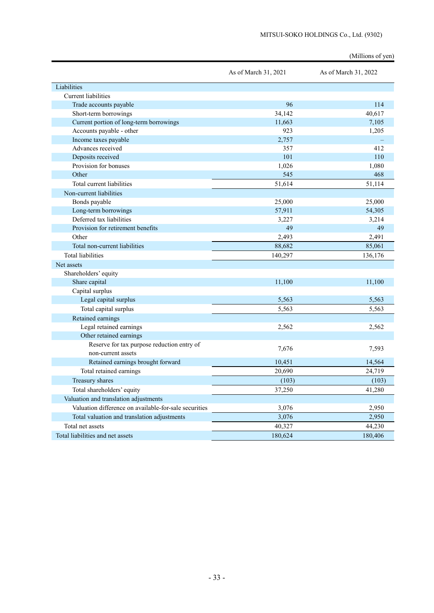|                                                       |                      | (Millions of yen)    |
|-------------------------------------------------------|----------------------|----------------------|
|                                                       | As of March 31, 2021 | As of March 31, 2022 |
| Liabilities                                           |                      |                      |
| <b>Current liabilities</b>                            |                      |                      |
| Trade accounts payable                                | 96                   | 114                  |
| Short-term borrowings                                 | 34,142               | 40,617               |
| Current portion of long-term borrowings               | 11,663               | 7,105                |
| Accounts payable - other                              | 923                  | 1,205                |
| Income taxes payable                                  | 2,757                |                      |
| Advances received                                     | 357                  | 412                  |
| Deposits received                                     | 101                  | 110                  |
| Provision for bonuses                                 | 1,026                | 1,080                |
| Other                                                 | 545                  | 468                  |
| Total current liabilities                             | 51,614               | 51,114               |
| Non-current liabilities                               |                      |                      |
| Bonds payable                                         | 25,000               | 25,000               |
| Long-term borrowings                                  | 57,911               | 54,305               |
| Deferred tax liabilities                              | 3,227                | 3,214                |
| Provision for retirement benefits                     | 49                   | 49                   |
| Other                                                 | 2,493                | 2,491                |
| Total non-current liabilities                         | 88,682               | 85,061               |
| <b>Total liabilities</b>                              | 140,297              | 136,176              |
| Net assets                                            |                      |                      |
| Shareholders' equity                                  |                      |                      |
| Share capital                                         | 11,100               | 11,100               |
| Capital surplus                                       |                      |                      |
| Legal capital surplus                                 | 5,563                | 5,563                |
| Total capital surplus                                 | 5,563                | 5,563                |
| Retained earnings                                     |                      |                      |
| Legal retained earnings                               | 2,562                | 2,562                |
| Other retained earnings                               |                      |                      |
| Reserve for tax purpose reduction entry of            | 7,676                | 7,593                |
| non-current assets                                    |                      |                      |
| Retained earnings brought forward                     | 10,451               | 14,564               |
| Total retained earnings                               | 20,690               | 24,719               |
| Treasury shares                                       | (103)                | (103)                |
| Total shareholders' equity                            | 37,250               | 41,280               |
| Valuation and translation adjustments                 |                      |                      |
| Valuation difference on available-for-sale securities | 3,076                | 2,950                |
| Total valuation and translation adjustments           | 3,076                | 2,950                |
| Total net assets                                      | 40,327               | 44,230               |
| Total liabilities and net assets                      | 180,624              | 180,406              |

#### MITSUI-SOKO HOLDINGS Co., Ltd. (9302)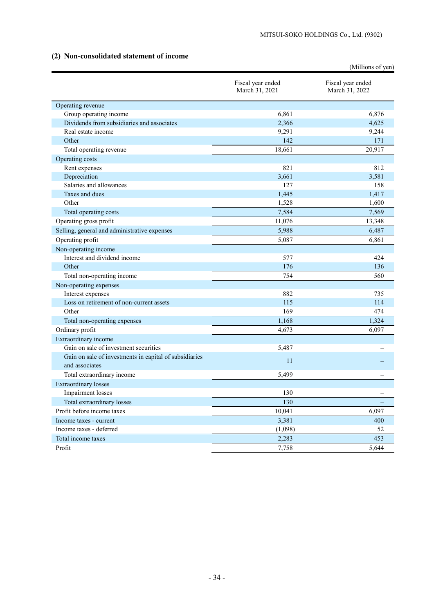# **(2) Non-consolidated statement of income**

|                                                                          |                                     | (Millions of yen)                   |
|--------------------------------------------------------------------------|-------------------------------------|-------------------------------------|
|                                                                          | Fiscal year ended<br>March 31, 2021 | Fiscal year ended<br>March 31, 2022 |
| Operating revenue                                                        |                                     |                                     |
| Group operating income                                                   | 6,861                               | 6,876                               |
| Dividends from subsidiaries and associates                               | 2,366                               | 4,625                               |
| Real estate income                                                       | 9,291                               | 9,244                               |
| Other                                                                    | 142                                 | 171                                 |
| Total operating revenue                                                  | 18,661                              | 20,917                              |
| Operating costs                                                          |                                     |                                     |
| Rent expenses                                                            | 821                                 | 812                                 |
| Depreciation                                                             | 3,661                               | 3,581                               |
| Salaries and allowances                                                  | 127                                 | 158                                 |
| Taxes and dues                                                           | 1,445                               | 1,417                               |
| Other                                                                    | 1,528                               | 1,600                               |
| Total operating costs                                                    | 7,584                               | 7,569                               |
| Operating gross profit                                                   | 11,076                              | 13,348                              |
| Selling, general and administrative expenses                             | 5,988                               | 6,487                               |
| Operating profit                                                         | 5,087                               | 6,861                               |
| Non-operating income                                                     |                                     |                                     |
| Interest and dividend income                                             | 577                                 | 424                                 |
| Other                                                                    | 176                                 | 136                                 |
| Total non-operating income                                               | 754                                 | 560                                 |
| Non-operating expenses                                                   |                                     |                                     |
| Interest expenses                                                        | 882                                 | 735                                 |
| Loss on retirement of non-current assets                                 | 115                                 | 114                                 |
| Other                                                                    | 169                                 | 474                                 |
| Total non-operating expenses                                             | 1,168                               | 1,324                               |
| Ordinary profit                                                          | 4,673                               | 6,097                               |
| Extraordinary income                                                     |                                     |                                     |
| Gain on sale of investment securities                                    | 5,487                               |                                     |
| Gain on sale of investments in capital of subsidiaries<br>and associates | 11                                  |                                     |
| Total extraordinary income                                               | 5,499                               |                                     |
| <b>Extraordinary losses</b>                                              |                                     |                                     |
| Impairment losses                                                        | 130                                 |                                     |
| Total extraordinary losses                                               | 130                                 |                                     |
| Profit before income taxes                                               | 10,041                              | 6,097                               |
| Income taxes - current                                                   | 3,381                               | 400                                 |
| Income taxes - deferred                                                  | (1,098)                             | 52                                  |
| Total income taxes                                                       | 2,283                               | 453                                 |
| Profit                                                                   | 7,758                               | 5,644                               |
|                                                                          |                                     |                                     |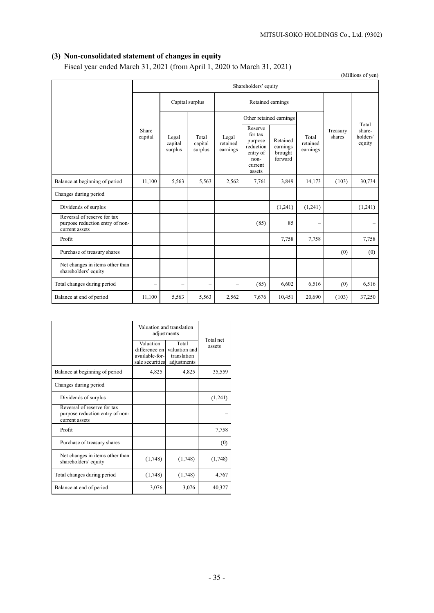# **(3) Non-consolidated statement of changes in equity**

Fiscal year ended March 31, 2021 (from April 1, 2020 to March 31, 2021)

(Millions of yen)

|                                                                                  | Shareholders' equity     |                             |                             |                               |                                                                                     |                                            |                               |                    |                                       |
|----------------------------------------------------------------------------------|--------------------------|-----------------------------|-----------------------------|-------------------------------|-------------------------------------------------------------------------------------|--------------------------------------------|-------------------------------|--------------------|---------------------------------------|
|                                                                                  |                          |                             | Capital surplus             |                               | Retained earnings                                                                   |                                            |                               |                    |                                       |
|                                                                                  |                          |                             |                             |                               |                                                                                     | Other retained earnings                    |                               |                    |                                       |
|                                                                                  | Share<br>capital         | Legal<br>capital<br>surplus | Total<br>capital<br>surplus | Legal<br>retained<br>earnings | Reserve<br>for tax<br>purpose<br>reduction<br>entry of<br>non-<br>current<br>assets | Retained<br>earnings<br>brought<br>forward | Total<br>retained<br>earnings | Treasury<br>shares | Total<br>share-<br>holders'<br>equity |
| Balance at beginning of period                                                   | 11,100                   | 5,563                       | 5,563                       | 2,562                         | 7,761                                                                               | 3,849                                      | 14,173                        | (103)              | 30,734                                |
| Changes during period                                                            |                          |                             |                             |                               |                                                                                     |                                            |                               |                    |                                       |
| Dividends of surplus                                                             |                          |                             |                             |                               |                                                                                     | (1,241)                                    | (1,241)                       |                    | (1,241)                               |
| Reversal of reserve for tax<br>purpose reduction entry of non-<br>current assets |                          |                             |                             |                               | (85)                                                                                | 85                                         | $\qquad \qquad -$             |                    |                                       |
| Profit                                                                           |                          |                             |                             |                               |                                                                                     | 7,758                                      | 7,758                         |                    | 7,758                                 |
| Purchase of treasury shares                                                      |                          |                             |                             |                               |                                                                                     |                                            |                               | (0)                | (0)                                   |
| Net changes in items other than<br>shareholders' equity                          |                          |                             |                             |                               |                                                                                     |                                            |                               |                    |                                       |
| Total changes during period                                                      | $\overline{\phantom{0}}$ | $\overline{\phantom{0}}$    | $\qquad \qquad -$           | $\overline{\phantom{0}}$      | (85)                                                                                | 6,602                                      | 6,516                         | (0)                | 6,516                                 |
| Balance at end of period                                                         | 11,100                   | 5,563                       | 5,563                       | 2,562                         | 7,676                                                                               | 10,451                                     | 20,690                        | (103)              | 37,250                                |

|                                                                                  | Valuation and translation<br>adjustments                        |                                                      |                     |  |
|----------------------------------------------------------------------------------|-----------------------------------------------------------------|------------------------------------------------------|---------------------|--|
|                                                                                  | Valuation<br>difference on<br>available-for-<br>sale securities | Total<br>valuation and<br>translation<br>adjustments | Total net<br>assets |  |
| Balance at beginning of period                                                   | 4,825                                                           | 4,825                                                | 35,559              |  |
| Changes during period                                                            |                                                                 |                                                      |                     |  |
| Dividends of surplus                                                             |                                                                 |                                                      | (1,241)             |  |
| Reversal of reserve for tax<br>purpose reduction entry of non-<br>current assets |                                                                 |                                                      |                     |  |
| Profit                                                                           |                                                                 |                                                      | 7,758               |  |
| Purchase of treasury shares                                                      |                                                                 |                                                      | (0)                 |  |
| Net changes in items other than<br>shareholders' equity                          | (1,748)                                                         | (1,748)                                              | (1,748)             |  |
| Total changes during period                                                      | (1,748)                                                         | (1,748)                                              | 4,767               |  |
| Balance at end of period                                                         | 3,076                                                           | 3,076                                                | 40.327              |  |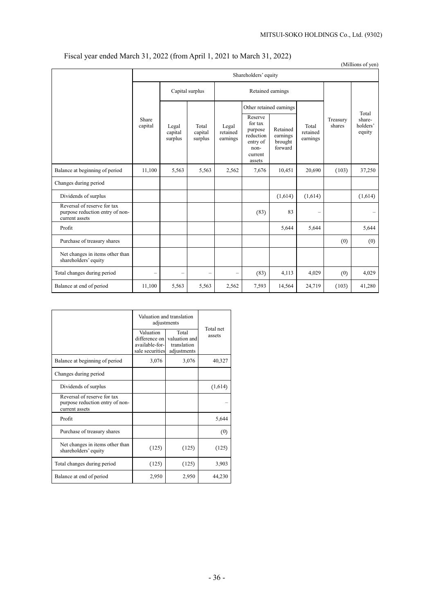# Fiscal year ended March 31, 2022 (from April 1, 2021 to March 31, 2022)

|                                                                                  |                          |                                      |                             |                               |                                                                                     |                                            |                               |                    | (Millions of yen)                     |  |
|----------------------------------------------------------------------------------|--------------------------|--------------------------------------|-----------------------------|-------------------------------|-------------------------------------------------------------------------------------|--------------------------------------------|-------------------------------|--------------------|---------------------------------------|--|
|                                                                                  | Shareholders' equity     |                                      |                             |                               |                                                                                     |                                            |                               |                    |                                       |  |
|                                                                                  |                          | Capital surplus<br>Retained earnings |                             |                               |                                                                                     |                                            |                               |                    |                                       |  |
|                                                                                  | Share<br>capital         |                                      |                             |                               |                                                                                     | Other retained earnings                    |                               |                    |                                       |  |
|                                                                                  |                          | Legal<br>capital<br>surplus          | Total<br>capital<br>surplus | Legal<br>retained<br>earnings | Reserve<br>for tax<br>purpose<br>reduction<br>entry of<br>non-<br>current<br>assets | Retained<br>earnings<br>brought<br>forward | Total<br>retained<br>earnings | Treasury<br>shares | Total<br>share-<br>holders'<br>equity |  |
| Balance at beginning of period                                                   | 11,100                   | 5,563                                | 5,563                       | 2,562                         | 7,676                                                                               | 10,451                                     | 20,690                        | (103)              | 37,250                                |  |
| Changes during period                                                            |                          |                                      |                             |                               |                                                                                     |                                            |                               |                    |                                       |  |
| Dividends of surplus                                                             |                          |                                      |                             |                               |                                                                                     | (1,614)                                    | (1,614)                       |                    | (1,614)                               |  |
| Reversal of reserve for tax<br>purpose reduction entry of non-<br>current assets |                          |                                      |                             |                               | (83)                                                                                | 83                                         |                               |                    |                                       |  |
| Profit                                                                           |                          |                                      |                             |                               |                                                                                     | 5,644                                      | 5,644                         |                    | 5,644                                 |  |
| Purchase of treasury shares                                                      |                          |                                      |                             |                               |                                                                                     |                                            |                               | (0)                | (0)                                   |  |
| Net changes in items other than<br>shareholders' equity                          |                          |                                      |                             |                               |                                                                                     |                                            |                               |                    |                                       |  |
| Total changes during period                                                      | $\overline{\phantom{0}}$ | $\overline{\phantom{a}}$             | $\overline{\phantom{0}}$    | $\overline{\phantom{0}}$      | (83)                                                                                | 4,113                                      | 4,029                         | (0)                | 4,029                                 |  |
| Balance at end of period                                                         | 11,100                   | 5,563                                | 5,563                       | 2,562                         | 7,593                                                                               | 14,564                                     | 24,719                        | (103)              | 41,280                                |  |

|                                                                                  | Valuation and translation<br>adjustments                        |                                                      |                     |
|----------------------------------------------------------------------------------|-----------------------------------------------------------------|------------------------------------------------------|---------------------|
|                                                                                  | Valuation<br>difference on<br>available-for-<br>sale securities | Total<br>valuation and<br>translation<br>adjustments | Total net<br>assets |
| Balance at beginning of period                                                   | 3,076                                                           | 3,076                                                | 40,327              |
| Changes during period                                                            |                                                                 |                                                      |                     |
| Dividends of surplus                                                             |                                                                 |                                                      | (1,614)             |
| Reversal of reserve for tax<br>purpose reduction entry of non-<br>current assets |                                                                 |                                                      |                     |
| Profit                                                                           |                                                                 |                                                      | 5,644               |
| Purchase of treasury shares                                                      |                                                                 |                                                      | (0)                 |
| Net changes in items other than<br>shareholders' equity                          | (125)                                                           | (125)                                                | (125)               |
| Total changes during period                                                      | (125)                                                           | (125)                                                | 3,903               |
| Balance at end of period                                                         | 2,950                                                           | 2,950                                                | 44,230              |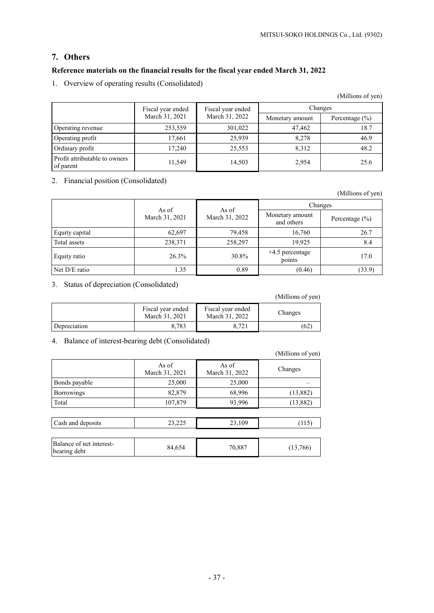# **7. Others**

# **Reference materials on the financial results for the fiscal year ended March 31, 2022**

1. Overview of operating results (Consolidated)

|                                            | Fiscal year ended | Fiscal year ended | Changes         |                    |  |
|--------------------------------------------|-------------------|-------------------|-----------------|--------------------|--|
|                                            | March 31, 2021    | March 31, 2022    | Monetary amount | Percentage $(\% )$ |  |
| Operating revenue                          | 253,559           | 301,022           | 47,462          | 18.7               |  |
| Operating profit                           | 17,661            | 25.939            | 8.278           | 46.9               |  |
| Ordinary profit                            | 17.240            | 25,553            | 8.312           | 48.2               |  |
| Profit attributable to owners<br>of parent | 11,549            | 14,503            | 2,954           | 25.6               |  |

2. Financial position (Consolidated)

(Millions of yen)

|                | As of          | As of          | Changes                       |                    |  |
|----------------|----------------|----------------|-------------------------------|--------------------|--|
|                | March 31, 2021 | March 31, 2022 | Monetary amount<br>and others | Percentage $(\% )$ |  |
| Equity capital | 62,697         | 79,458         | 16,760                        | 26.7               |  |
| Total assets   | 238,371        | 258,297        | 19,925                        | 8.4                |  |
| Equity ratio   | 26.3%          | 30.8%          | +4.5 percentage<br>points     | 17.0               |  |
| Net D/E ratio  | 1.35           | 0.89           | (0.46)                        | (33.9)             |  |

3. Status of depreciation (Consolidated)

|              |                                     |                                     | (Millions of yen) |
|--------------|-------------------------------------|-------------------------------------|-------------------|
|              | Fiscal year ended<br>March 31, 2021 | Fiscal year ended<br>March 31, 2022 | Changes           |
| Depreciation | 8,783                               | 8.721                               | (62               |

# 4. Balance of interest-bearing debt (Consolidated)

|                                          |                         |                         | (Millions of yen) |
|------------------------------------------|-------------------------|-------------------------|-------------------|
|                                          | As of<br>March 31, 2021 | As of<br>March 31, 2022 | Changes           |
| Bonds payable                            | 25,000                  | 25,000                  |                   |
| <b>Borrowings</b>                        | 82,879                  | 68,996                  | (13, 882)         |
| Total                                    | 107,879                 | 93,996                  | (13,882)          |
|                                          |                         |                         |                   |
| Cash and deposits                        | 23,225                  | 23,109                  | (115)             |
|                                          |                         |                         |                   |
| Balance of net interest-<br>bearing debt | 84,654                  | 70,887                  | (13,766)          |